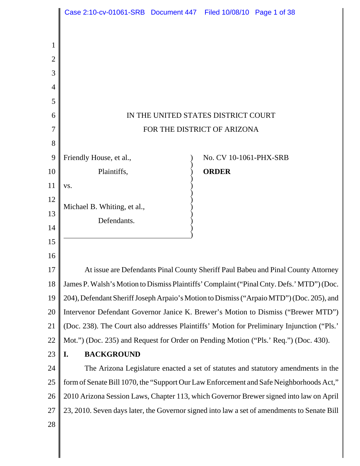|                | Case 2:10-cv-01061-SRB  Document 447  Filed 10/08/10  Page 1 of 38 |                                                                                             |
|----------------|--------------------------------------------------------------------|---------------------------------------------------------------------------------------------|
|                |                                                                    |                                                                                             |
| 1              |                                                                    |                                                                                             |
| $\overline{2}$ |                                                                    |                                                                                             |
| 3              |                                                                    |                                                                                             |
| 4              |                                                                    |                                                                                             |
| 5              |                                                                    |                                                                                             |
| 6              |                                                                    | IN THE UNITED STATES DISTRICT COURT                                                         |
| 7              |                                                                    | FOR THE DISTRICT OF ARIZONA                                                                 |
| 8              |                                                                    |                                                                                             |
| 9              | Friendly House, et al.,                                            | No. CV 10-1061-PHX-SRB                                                                      |
| 10             | Plaintiffs,                                                        | <b>ORDER</b>                                                                                |
| 11             | VS.                                                                |                                                                                             |
| 12             | Michael B. Whiting, et al.,                                        |                                                                                             |
| 13             | Defendants.                                                        |                                                                                             |
| 14             |                                                                    |                                                                                             |
| 15             |                                                                    |                                                                                             |
| 16             |                                                                    |                                                                                             |
| 17             |                                                                    | At issue are Defendants Pinal County Sheriff Paul Babeu and Pinal County Attorney           |
| 18             |                                                                    | James P. Walsh's Motion to Dismiss Plaintiffs' Complaint ("Pinal Cnty. Defs.' MTD") (Doc.   |
| 19             |                                                                    | 204), Defendant Sheriff Joseph Arpaio's Motion to Dismiss ("Arpaio MTD") (Doc. 205), and    |
| 20             |                                                                    | Intervenor Defendant Governor Janice K. Brewer's Motion to Dismiss ("Brewer MTD")           |
| 21             |                                                                    | (Doc. 238). The Court also addresses Plaintiffs' Motion for Preliminary Injunction ("Pls."  |
| 22             |                                                                    | Mot.") (Doc. 235) and Request for Order on Pending Motion ("Pls.' Req.") (Doc. 430).        |
| 23             | <b>BACKGROUND</b><br>I.                                            |                                                                                             |
| 24             |                                                                    | The Arizona Legislature enacted a set of statutes and statutory amendments in the           |
| 25             |                                                                    | form of Senate Bill 1070, the "Support Our Law Enforcement and Safe Neighborhoods Act,"     |
| 26             |                                                                    | 2010 Arizona Session Laws, Chapter 113, which Governor Brewer signed into law on April      |
| 27             |                                                                    | 23, 2010. Seven days later, the Governor signed into law a set of amendments to Senate Bill |
| 28             |                                                                    |                                                                                             |
|                |                                                                    |                                                                                             |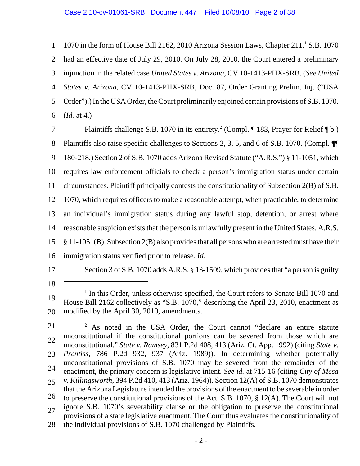1 2 3 4 5 6 1070 in the form of House Bill 2162, 2010 Arizona Session Laws, Chapter 211.<sup>1</sup> S.B. 1070 had an effective date of July 29, 2010. On July 28, 2010, the Court entered a preliminary injunction in the related case *United States v. Arizona*, CV 10-1413-PHX-SRB. (*See United States v. Arizona*, CV 10-1413-PHX-SRB, Doc. 87, Order Granting Prelim. Inj. ("USA Order").) In the USA Order, the Court preliminarily enjoined certain provisions of S.B. 1070. (*Id.* at 4.)

7 8 9 10 11 12 13 14 15 16 Plaintiffs challenge S.B. 1070 in its entirety.<sup>2</sup> (Compl.  $\P$  183, Prayer for Relief  $\P$  b.) Plaintiffs also raise specific challenges to Sections 2, 3, 5, and 6 of S.B. 1070. (Compl. ¶¶ 180-218.) Section 2 of S.B. 1070 adds Arizona Revised Statute ("A.R.S.") § 11-1051, which requires law enforcement officials to check a person's immigration status under certain circumstances. Plaintiff principally contests the constitutionality of Subsection 2(B) of S.B. 1070, which requires officers to make a reasonable attempt, when practicable, to determine an individual's immigration status during any lawful stop, detention, or arrest where reasonable suspicion exists that the person is unlawfully present in the United States. A.R.S. § 11-1051(B). Subsection 2(B) also provides that all persons who are arrested must have their immigration status verified prior to release. *Id.*

17 18 Section 3 of S.B. 1070 adds A.R.S. § 13-1509, which provides that "a person is guilty

<sup>19</sup> 20 <sup>1</sup> In this Order, unless otherwise specified, the Court refers to Senate Bill 1070 and House Bill 2162 collectively as "S.B. 1070," describing the April 23, 2010, enactment as modified by the April 30, 2010, amendments.

<sup>21</sup> 22 23 24 25 26 27 28 <sup>2</sup> As noted in the USA Order, the Court cannot "declare an entire statute unconstitutional if the constitutional portions can be severed from those which are unconstitutional." *State v. Ramsey*, 831 P.2d 408, 413 (Ariz. Ct. App. 1992) (citing *State v. Prentiss*, 786 P.2d 932, 937 (Ariz. 1989)). In determining whether potentially unconstitutional provisions of S.B. 1070 may be severed from the remainder of the enactment, the primary concern is legislative intent. *See id.* at 715-16 (citing *City of Mesa v. Killingsworth*, 394 P.2d 410, 413 (Ariz. 1964)). Section 12(A) of S.B. 1070 demonstrates that the Arizona Legislature intended the provisions of the enactment to be severable in order to preserve the constitutional provisions of the Act. S.B. 1070, § 12(A). The Court will not ignore S.B. 1070's severability clause or the obligation to preserve the constitutional provisions of a state legislative enactment. The Court thus evaluates the constitutionality of the individual provisions of S.B. 1070 challenged by Plaintiffs.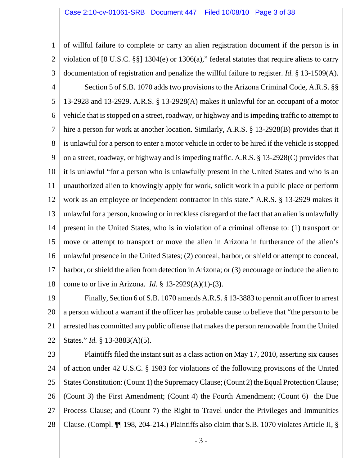1 2 3 4 5 6 7 8 9 10 11 12 13 14 15 16 17 18 of willful failure to complete or carry an alien registration document if the person is in violation of [8 U.S.C. §§] 1304(e) or 1306(a)," federal statutes that require aliens to carry documentation of registration and penalize the willful failure to register. *Id.* § 13-1509(A). Section 5 of S.B. 1070 adds two provisions to the Arizona Criminal Code, A.R.S. §§ 13-2928 and 13-2929. A.R.S. § 13-2928(A) makes it unlawful for an occupant of a motor vehicle that is stopped on a street, roadway, or highway and is impeding traffic to attempt to hire a person for work at another location. Similarly, A.R.S. § 13-2928(B) provides that it is unlawful for a person to enter a motor vehicle in order to be hired if the vehicle is stopped on a street, roadway, or highway and is impeding traffic. A.R.S. § 13-2928(C) provides that it is unlawful "for a person who is unlawfully present in the United States and who is an unauthorized alien to knowingly apply for work, solicit work in a public place or perform work as an employee or independent contractor in this state." A.R.S. § 13-2929 makes it unlawful for a person, knowing or in reckless disregard of the fact that an alien is unlawfully present in the United States, who is in violation of a criminal offense to: (1) transport or move or attempt to transport or move the alien in Arizona in furtherance of the alien's unlawful presence in the United States; (2) conceal, harbor, or shield or attempt to conceal, harbor, or shield the alien from detection in Arizona; or (3) encourage or induce the alien to come to or live in Arizona. *Id.* § 13-2929(A)(1)-(3).

19 20 21 22 Finally, Section 6 of S.B. 1070 amends A.R.S. § 13-3883 to permit an officer to arrest a person without a warrant if the officer has probable cause to believe that "the person to be arrested has committed any public offense that makes the person removable from the United States." *Id.* § 13-3883(A)(5).

23

24 25 26 27 28 Plaintiffs filed the instant suit as a class action on May 17, 2010, asserting six causes of action under 42 U.S.C. § 1983 for violations of the following provisions of the United States Constitution: (Count 1) the Supremacy Clause; (Count 2) the Equal Protection Clause; (Count 3) the First Amendment; (Count 4) the Fourth Amendment; (Count 6) the Due Process Clause; and (Count 7) the Right to Travel under the Privileges and Immunities Clause. (Compl. ¶¶ 198, 204-214.) Plaintiffs also claim that S.B. 1070 violates Article II, §

- 3 -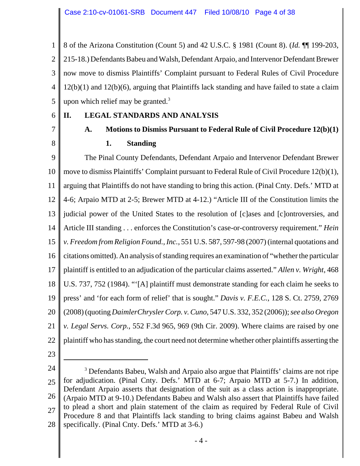1 2 3 4 5 8 of the Arizona Constitution (Count 5) and 42 U.S.C. § 1981 (Count 8). (*Id.* ¶¶ 199-203, 215-18.) Defendants Babeu and Walsh, Defendant Arpaio, and Intervenor Defendant Brewer now move to dismiss Plaintiffs' Complaint pursuant to Federal Rules of Civil Procedure 12(b)(1) and 12(b)(6), arguing that Plaintiffs lack standing and have failed to state a claim upon which relief may be granted. $3$ 

6 7

8

# **II. LEGAL STANDARDS AND ANALYSIS**

**A. Motions to Dismiss Pursuant to Federal Rule of Civil Procedure 12(b)(1)**

# **1. Standing**

9 10 11 12 13 14 15 16 17 18 19 20 21 22 The Pinal County Defendants, Defendant Arpaio and Intervenor Defendant Brewer move to dismiss Plaintiffs' Complaint pursuant to Federal Rule of Civil Procedure 12(b)(1), arguing that Plaintiffs do not have standing to bring this action. (Pinal Cnty. Defs.' MTD at 4-6; Arpaio MTD at 2-5; Brewer MTD at 4-12.) "Article III of the Constitution limits the judicial power of the United States to the resolution of [c]ases and [c]ontroversies, and Article III standing . . . enforces the Constitution's case-or-controversy requirement." *Hein v. Freedom from Religion Found.,Inc.*, 551 U.S. 587, 597-98 (2007) (internal quotations and citations omitted). An analysis of standing requires an examination of "whether the particular plaintiff is entitled to an adjudication of the particular claims asserted." *Allen v. Wright*, 468 U.S. 737, 752 (1984). "'[A] plaintiff must demonstrate standing for each claim he seeks to press' and 'for each form of relief' that is sought." *Davis v. F.E.C.*, 128 S. Ct. 2759, 2769 (2008)(quoting *DaimlerChryslerCorp. v.Cuno*, 547 U.S. 332, 352 (2006));*see also Oregon v. Legal Servs. Corp.*, 552 F.3d 965, 969 (9th Cir. 2009). Where claims are raised by one plaintiff who has standing, the court need not determine whether other plaintiffs asserting the

23

<sup>24</sup> 25 26 27 28 <sup>3</sup> Defendants Babeu, Walsh and Arpaio also argue that Plaintiffs' claims are not ripe for adjudication. (Pinal Cnty. Defs.' MTD at 6-7; Arpaio MTD at 5-7.) In addition, Defendant Arpaio asserts that designation of the suit as a class action is inappropriate. (Arpaio MTD at 9-10.) Defendants Babeu and Walsh also assert that Plaintiffs have failed to plead a short and plain statement of the claim as required by Federal Rule of Civil Procedure 8 and that Plaintiffs lack standing to bring claims against Babeu and Walsh specifically. (Pinal Cnty. Defs.' MTD at 3-6.)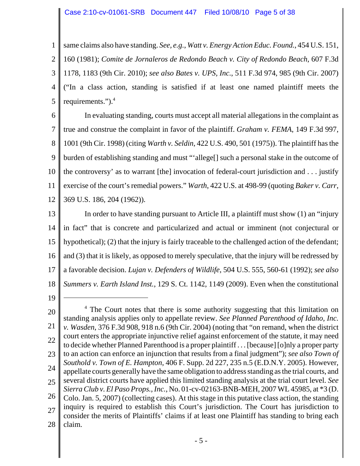1 2 3 4 5 same claims also have standing. *See, e.g.*, *Watt v. Energy Action Educ. Found.*, 454 U.S. 151, 160 (1981); *Comite de Jornaleros de Redondo Beach v. City of Redondo Beach*, 607 F.3d 1178, 1183 (9th Cir. 2010); *see also Bates v. UPS, Inc.*, 511 F.3d 974, 985 (9th Cir. 2007) ("In a class action, standing is satisfied if at least one named plaintiff meets the requirements.").<sup>4</sup>

6 7 8 9 10 11 12 In evaluating standing, courts must accept all material allegations in the complaint as true and construe the complaint in favor of the plaintiff. *Graham v. FEMA*, 149 F.3d 997, 1001 (9th Cir. 1998) (citing *Warth v. Seldin*, 422 U.S. 490, 501 (1975)). The plaintiff hasthe burden of establishing standing and must "'allege[] such a personal stake in the outcome of the controversy' as to warrant [the] invocation of federal-court jurisdiction and . . . justify exercise of the court's remedial powers." *Warth*, 422 U.S. at 498-99 (quoting *Baker v. Carr*, 369 U.S. 186, 204 (1962)).

13 14 15 16 17 18 In order to have standing pursuant to Article III, a plaintiff must show (1) an "injury in fact" that is concrete and particularized and actual or imminent (not conjectural or hypothetical); (2) that the injury is fairly traceable to the challenged action of the defendant; and (3) that it is likely, as opposed to merely speculative, that the injury will be redressed by a favorable decision. *Lujan v. Defenders of Wildlife*, 504 U.S. 555, 560-61 (1992); *see also Summers v. Earth Island Inst.*, 129 S. Ct. 1142, 1149 (2009). Even when the constitutional

19

<sup>20</sup> 21 22 23 24 25 26 27 28 <sup>4</sup> The Court notes that there is some authority suggesting that this limitation on standing analysis applies only to appellate review. *See Planned Parenthood of Idaho, Inc. v. Wasden*, 376 F.3d 908, 918 n.6 (9th Cir. 2004) (noting that "on remand, when the district court enters the appropriate injunctive relief against enforcement of the statute, it may need to decide whether Planned Parenthood is a proper plaintiff . . . [because] [o]nly a proper party to an action can enforce an injunction that results from a final judgment"); *see also Town of Southold v. Town of E. Hampton*, 406 F. Supp. 2d 227, 235 n.5 (E.D.N.Y. 2005). However, appellate courts generally have the same obligation to address standing as the trial courts, and several district courts have applied this limited standing analysis at the trial court level. *See Sierra Club v. El Paso Props., Inc.*, No. 01-cv-02163-BNB-MEH, 2007 WL 45985, at \*3 (D. Colo. Jan. 5, 2007) (collecting cases). At this stage in this putative class action, the standing inquiry is required to establish this Court's jurisdiction. The Court has jurisdiction to consider the merits of Plaintiffs' claims if at least one Plaintiff has standing to bring each claim.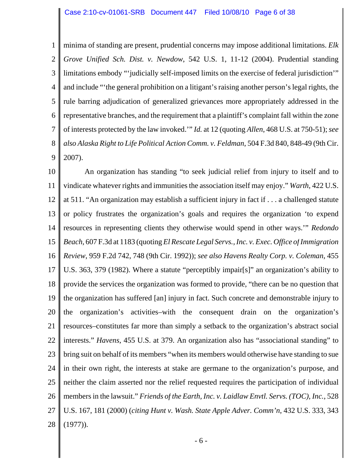1 2 3 4 5 6 7 8 9 minima of standing are present, prudential concerns may impose additional limitations. *Elk Grove Unified Sch. Dist. v. Newdow*, 542 U.S. 1, 11-12 (2004). Prudential standing limitations embody "'judicially self-imposed limits on the exercise of federal jurisdiction'" and include "the general prohibition on a litigant's raising another person's legal rights, the rule barring adjudication of generalized grievances more appropriately addressed in the representative branches, and the requirement that a plaintiff's complaint fall within the zone of interests protected by the law invoked.'" *Id.* at 12 (quoting *Allen*, 468 U.S. at 750-51); *see also Alaska Right to Life Political Action Comm. v. Feldman*, 504 F.3d 840, 848-49 (9th Cir. 2007).

10 11 12 13 14 15 16 17 18 19 20 21 22 23 24 25 26 27 28 An organization has standing "to seek judicial relief from injury to itself and to vindicate whatever rights and immunities the association itself may enjoy." *Warth*, 422 U.S. at 511. "An organization may establish a sufficient injury in fact if . . . a challenged statute or policy frustrates the organization's goals and requires the organization 'to expend resources in representing clients they otherwise would spend in other ways.'" *Redondo Beach*, 607 F.3d at 1183 (quoting *El Rescate Legal Servs.,Inc. v. Exec. Office ofImmigration Review*, 959 F.2d 742, 748 (9th Cir. 1992)); *see also Havens Realty Corp. v. Coleman*, 455 U.S. 363, 379 (1982). Where a statute "perceptibly impair[s]" an organization's ability to provide the services the organization was formed to provide, "there can be no question that the organization has suffered [an] injury in fact. Such concrete and demonstrable injury to the organization's activities–with the consequent drain on the organization's resources–constitutes far more than simply a setback to the organization's abstract social interests." *Havens*, 455 U.S. at 379. An organization also has "associational standing" to bring suit on behalf of its members "when its members would otherwise have standing to sue in their own right, the interests at stake are germane to the organization's purpose, and neither the claim asserted nor the relief requested requires the participation of individual membersin the lawsuit." *Friends of the Earth, Inc. v. Laidlaw Envtl. Servs. (TOC), Inc.*, 528 U.S. 167, 181 (2000) (*citing Hunt v. Wash. State Apple Adver. Comm'n*, 432 U.S. 333, 343 (1977)).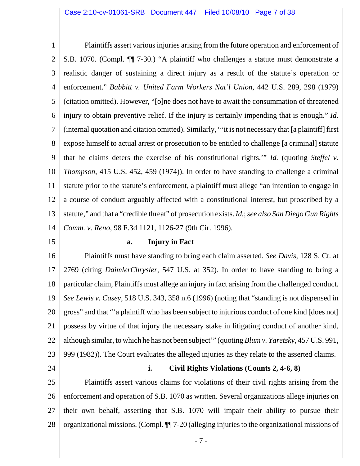1 2 3 4 5 6 7 8 9 10 11 12 13 14 Plaintiffs assert various injuries arising from the future operation and enforcement of S.B. 1070. (Compl. ¶¶ 7-30.) "A plaintiff who challenges a statute must demonstrate a realistic danger of sustaining a direct injury as a result of the statute's operation or enforcement." *Babbitt v. United Farm Workers Nat'l Union*, 442 U.S. 289, 298 (1979) (citation omitted). However, "[o]ne does not have to await the consummation of threatened injury to obtain preventive relief. If the injury is certainly impending that is enough." *Id.* (internal quotation and citation omitted). Similarly, "'it is not necessary that [a plaintiff] first expose himself to actual arrest or prosecution to be entitled to challenge [a criminal] statute that he claims deters the exercise of his constitutional rights.'" *Id.* (quoting *Steffel v. Thompson*, 415 U.S. 452, 459 (1974)). In order to have standing to challenge a criminal statute prior to the statute's enforcement, a plaintiff must allege "an intention to engage in a course of conduct arguably affected with a constitutional interest, but proscribed by a statute," and that a "credible threat" of prosecution exists. *Id.*; *see also San Diego Gun Rights Comm. v. Reno*, 98 F.3d 1121, 1126-27 (9th Cir. 1996).

15

#### **a. Injury in Fact**

16 17 18 19 20 21 22 23 Plaintiffs must have standing to bring each claim asserted. *See Davis*, 128 S. Ct. at 2769 (citing *DaimlerChrysler*, 547 U.S. at 352). In order to have standing to bring a particular claim, Plaintiffs must allege an injury in fact arising from the challenged conduct. *See Lewis v. Casey*, 518 U.S. 343, 358 n.6 (1996) (noting that "standing is not dispensed in gross" and that "'a plaintiff who has been subject to injurious conduct of one kind [does not] possess by virtue of that injury the necessary stake in litigating conduct of another kind, although similar, to which he has not been subject'" (quoting *Blum v. Yaretsky*, 457 U.S. 991, 999 (1982)). The Court evaluates the alleged injuries as they relate to the asserted claims.

24

#### **i. Civil Rights Violations (Counts 2, 4-6, 8)**

25 26 27 28 Plaintiffs assert various claims for violations of their civil rights arising from the enforcement and operation of S.B. 1070 as written. Several organizations allege injuries on their own behalf, asserting that S.B. 1070 will impair their ability to pursue their organizational missions. (Compl. ¶¶ 7-20 (alleging injuries to the organizational missions of

- 7 -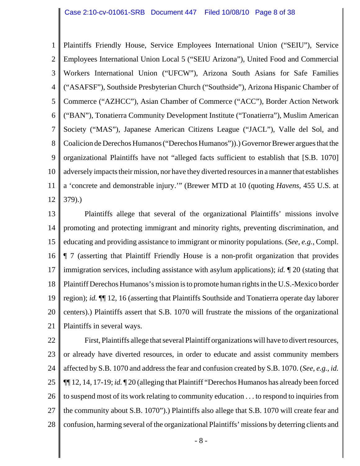1 2 3 4 5 6 7 8 9 10 11 12 Plaintiffs Friendly House, Service Employees International Union ("SEIU"), Service Employees International Union Local 5 ("SEIU Arizona"), United Food and Commercial Workers International Union ("UFCW"), Arizona South Asians for Safe Families ("ASAFSF"), Southside Presbyterian Church ("Southside"), Arizona Hispanic Chamber of Commerce ("AZHCC"), Asian Chamber of Commerce ("ACC"), Border Action Network ("BAN"), Tonatierra Community Development Institute ("Tonatierra"), Muslim American Society ("MAS"), Japanese American Citizens League ("JACL"), Valle del Sol, and Coalicion de Derechos Humanos ("Derechos Humanos")).) Governor Brewer argues that the organizational Plaintiffs have not "alleged facts sufficient to establish that [S.B. 1070] adversely impacts their mission, nor have they diverted resources in a manner that establishes a 'concrete and demonstrable injury.'" (Brewer MTD at 10 (quoting *Havens*, 455 U.S. at 379).)

13 14 15 16 17 18 19 20 21 Plaintiffs allege that several of the organizational Plaintiffs' missions involve promoting and protecting immigrant and minority rights, preventing discrimination, and educating and providing assistance to immigrant or minority populations. (*See, e.g.*, Compl. ¶ 7 (asserting that Plaintiff Friendly House is a non-profit organization that provides immigration services, including assistance with asylum applications); *id.* ¶ 20 (stating that Plaintiff Derechos Humanos's mission is to promote human rights in the U.S.-Mexico border region); *id.* ¶¶ 12, 16 (asserting that Plaintiffs Southside and Tonatierra operate day laborer centers).) Plaintiffs assert that S.B. 1070 will frustrate the missions of the organizational Plaintiffs in several ways.

22 23 24 25 26 27 28 First, Plaintiffs allege that several Plaintiff organizations will have to divert resources, or already have diverted resources, in order to educate and assist community members affected by S.B. 1070 and address the fear and confusion created by S.B. 1070. (*See, e.g.*, *id.* ¶¶ 12, 14, 17-19; *id.* ¶ 20 (alleging that Plaintiff "Derechos Humanos has already been forced to suspend most of its work relating to community education . . . to respond to inquiries from the community about S.B. 1070").) Plaintiffs also allege that S.B. 1070 will create fear and confusion, harming several of the organizational Plaintiffs' missions by deterring clients and

- 8 -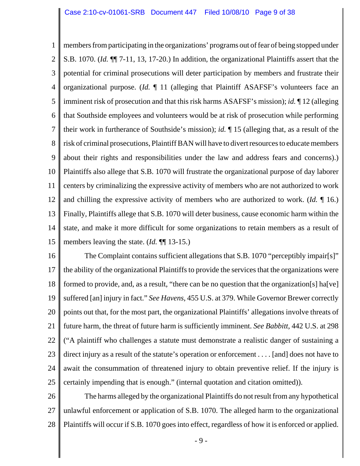1 2 3 4 5 6 7 8 9 10 11 12 13 14 15 members from participating in the organizations' programs out of fear of being stopped under S.B. 1070. (*Id.* ¶¶ 7-11, 13, 17-20.) In addition, the organizational Plaintiffs assert that the potential for criminal prosecutions will deter participation by members and frustrate their organizational purpose. (*Id.* ¶ 11 (alleging that Plaintiff ASAFSF's volunteers face an imminent risk of prosecution and that this risk harms ASAFSF's mission); *id.* ¶ 12 (alleging that Southside employees and volunteers would be at risk of prosecution while performing their work in furtherance of Southside's mission); *id.* ¶ 15 (alleging that, as a result of the risk of criminal prosecutions, Plaintiff BAN will have to divert resources to educate members about their rights and responsibilities under the law and address fears and concerns).) Plaintiffs also allege that S.B. 1070 will frustrate the organizational purpose of day laborer centers by criminalizing the expressive activity of members who are not authorized to work and chilling the expressive activity of members who are authorized to work. (*Id.* ¶ 16.) Finally, Plaintiffs allege that S.B. 1070 will deter business, cause economic harm within the state, and make it more difficult for some organizations to retain members as a result of members leaving the state. (*Id.* ¶¶ 13-15.)

16 17 18 19 20 21 22 23 24 25 The Complaint contains sufficient allegations that S.B. 1070 "perceptibly impair[s]" the ability of the organizational Plaintiffs to provide the services that the organizations were formed to provide, and, as a result, "there can be no question that the organization[s] ha[ve] suffered [an] injury in fact." *See Havens*, 455 U.S. at 379. While Governor Brewer correctly points out that, for the most part, the organizational Plaintiffs' allegations involve threats of future harm, the threat of future harm is sufficiently imminent. *See Babbitt*, 442 U.S. at 298 ("A plaintiff who challenges a statute must demonstrate a realistic danger of sustaining a direct injury as a result of the statute's operation or enforcement . . . . [and] does not have to await the consummation of threatened injury to obtain preventive relief. If the injury is certainly impending that is enough." (internal quotation and citation omitted)).

26 27 28 The harms alleged by the organizational Plaintiffs do not result from any hypothetical unlawful enforcement or application of S.B. 1070. The alleged harm to the organizational Plaintiffs will occur if S.B. 1070 goes into effect, regardless of how it is enforced or applied.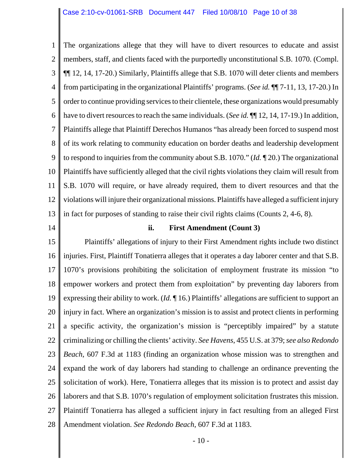1 2 3 4 5 6 7 8 9 10 11 12 13 The organizations allege that they will have to divert resources to educate and assist members, staff, and clients faced with the purportedly unconstitutional S.B. 1070. (Compl. ¶¶ 12, 14, 17-20.) Similarly, Plaintiffs allege that S.B. 1070 will deter clients and members from participating in the organizational Plaintiffs' programs. (*See id.* ¶¶ 7-11, 13, 17-20.) In order to continue providing services to their clientele, these organizations would presumably have to divert resources to reach the same individuals. (*See id.*  $\P$  12, 14, 17-19.) In addition, Plaintiffs allege that Plaintiff Derechos Humanos "has already been forced to suspend most of its work relating to community education on border deaths and leadership development to respond to inquiries from the community about S.B. 1070." (*Id.* ¶ 20.) The organizational Plaintiffs have sufficiently alleged that the civil rights violations they claim will result from S.B. 1070 will require, or have already required, them to divert resources and that the violations will injure their organizational missions. Plaintiffs have alleged a sufficient injury in fact for purposes of standing to raise their civil rights claims (Counts 2, 4-6, 8).

14

## **ii. First Amendment (Count 3)**

15 16 17 18 19 20 21 22 23 24 25 26 27 28 Plaintiffs' allegations of injury to their First Amendment rights include two distinct injuries. First, Plaintiff Tonatierra alleges that it operates a day laborer center and that S.B. 1070's provisions prohibiting the solicitation of employment frustrate its mission "to empower workers and protect them from exploitation" by preventing day laborers from expressing their ability to work. (*Id.* ¶ 16.) Plaintiffs' allegations are sufficient to support an injury in fact. Where an organization's mission is to assist and protect clients in performing a specific activity, the organization's mission is "perceptibly impaired" by a statute criminalizing or chilling the clients' activity. *See Havens*, 455 U.S. at 379; *see also Redondo Beach*, 607 F.3d at 1183 (finding an organization whose mission was to strengthen and expand the work of day laborers had standing to challenge an ordinance preventing the solicitation of work). Here, Tonatierra alleges that its mission is to protect and assist day laborers and that S.B. 1070's regulation of employment solicitation frustrates this mission. Plaintiff Tonatierra has alleged a sufficient injury in fact resulting from an alleged First Amendment violation. *See Redondo Beach*, 607 F.3d at 1183.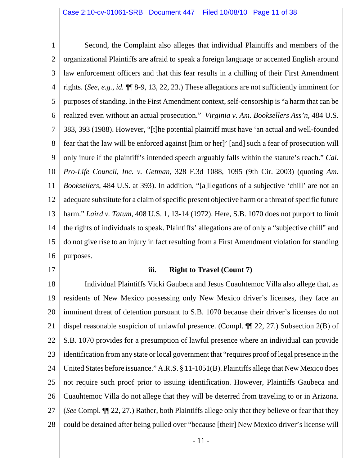1 2 3 4 5 6 7 8 9 10 11 12 13 14 15 16 Second, the Complaint also alleges that individual Plaintiffs and members of the organizational Plaintiffs are afraid to speak a foreign language or accented English around law enforcement officers and that this fear results in a chilling of their First Amendment rights. (*See, e.g.*, *id.* ¶¶ 8-9, 13, 22, 23.) These allegations are not sufficiently imminent for purposes of standing. In the First Amendment context, self-censorship is "a harm that can be realized even without an actual prosecution." *Virginia v. Am. Booksellers Ass'n*, 484 U.S. 383, 393 (1988). However, "[t]he potential plaintiff must have 'an actual and well-founded fear that the law will be enforced against [him or her]' [and] such a fear of prosecution will only inure if the plaintiff's intended speech arguably falls within the statute's reach." *Cal. Pro-Life Council, Inc. v. Getman*, 328 F.3d 1088, 1095 (9th Cir. 2003) (quoting *Am. Booksellers*, 484 U.S. at 393). In addition, "[a]llegations of a subjective 'chill' are not an adequate substitute for a claim of specific present objective harm or a threat of specific future harm." *Laird v. Tatum*, 408 U.S. 1, 13-14 (1972). Here, S.B. 1070 does not purport to limit the rights of individuals to speak. Plaintiffs' allegations are of only a "subjective chill" and do not give rise to an injury in fact resulting from a First Amendment violation for standing purposes.

17

## **iii. Right to Travel (Count 7)**

18 19 20 21 22 23 24 25 26 27 28 Individual Plaintiffs Vicki Gaubeca and Jesus Cuauhtemoc Villa also allege that, as residents of New Mexico possessing only New Mexico driver's licenses, they face an imminent threat of detention pursuant to S.B. 1070 because their driver's licenses do not dispel reasonable suspicion of unlawful presence. (Compl. ¶¶ 22, 27.) Subsection 2(B) of S.B. 1070 provides for a presumption of lawful presence where an individual can provide identification from any state or local government that "requires proof of legal presence in the United States before issuance." A.R.S. § 11-1051(B). Plaintiffs allege that New Mexico does not require such proof prior to issuing identification. However, Plaintiffs Gaubeca and Cuauhtemoc Villa do not allege that they will be deterred from traveling to or in Arizona. (*See* Compl. ¶¶ 22, 27.) Rather, both Plaintiffs allege only that they believe or fear that they could be detained after being pulled over "because [their] New Mexico driver's license will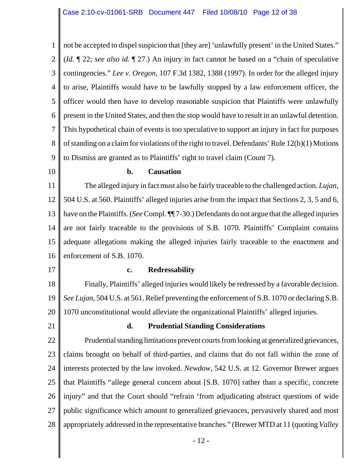1 2 3 4 5 6 7 8 9 not be accepted to dispel suspicion that [they are] 'unlawfully present' in the United States." (*Id.* ¶ 22; *see also id.* ¶ 27.) An injury in fact cannot be based on a "chain of speculative contingencies." *Lee v. Oregon*, 107 F.3d 1382, 1388 (1997). In order for the alleged injury to arise, Plaintiffs would have to be lawfully stopped by a law enforcement officer, the officer would then have to develop reasonable suspicion that Plaintiffs were unlawfully present in the United States, and then the stop would have to result in an unlawful detention. This hypothetical chain of events is too speculative to support an injury in fact for purposes of standing on a claim for violations of the right to travel. Defendants' Rule 12(b)(1) Motions to Dismiss are granted as to Plaintiffs' right to travel claim (Count 7).

10

#### **b. Causation**

11 12 13 14 15 16 The alleged injury in fact must also be fairly traceable to the challenged action. *Lujan*, 504 U.S. at 560. Plaintiffs' alleged injuries arise from the impact that Sections 2, 3, 5 and 6, have on the Plaintiffs. (*See* Compl. ¶¶ 7-30.) Defendants do not argue that the alleged injuries are not fairly traceable to the provisions of S.B. 1070. Plaintiffs' Complaint contains adequate allegations making the alleged injuries fairly traceable to the enactment and enforcement of S.B. 1070.

17

#### **c. Redressability**

18 19 20 Finally, Plaintiffs' alleged injuries would likely be redressed by a favorable decision. *See Lujan*, 504 U.S. at 561. Relief preventing the enforcement of S.B. 1070 or declaring S.B. 1070 unconstitutional would alleviate the organizational Plaintiffs' alleged injuries.

21

#### **d. Prudential Standing Considerations**

22 23 24 25 26 27 28 Prudential standing limitations prevent courts from looking at generalized grievances, claims brought on behalf of third-parties, and claims that do not fall within the zone of interests protected by the law invoked. *Newdow*, 542 U.S. at 12. Governor Brewer argues that Plaintiffs "allege general concern about [S.B. 1070] rather than a specific, concrete injury" and that the Court should "refrain 'from adjudicating abstract questions of wide public significance which amount to generalized grievances, pervasively shared and most appropriately addressed in the representative branches." (Brewer MTD at 11 (quoting *Valley*

- 12 -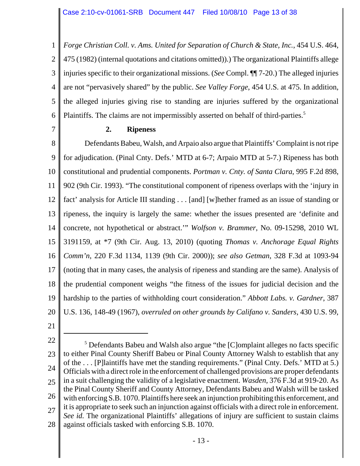1 2 3 4 5 6 *Forge Christian Coll. v. Ams. United for Separation of Church & State, Inc.*, 454 U.S. 464, 475 (1982) (internal quotations and citations omitted)).) The organizational Plaintiffs allege injuries specific to their organizational missions. (*See* Compl. ¶¶ 7-20.) The alleged injuries are not "pervasively shared" by the public. *See Valley Forge*, 454 U.S. at 475. In addition, the alleged injuries giving rise to standing are injuries suffered by the organizational Plaintiffs. The claims are not impermissibly asserted on behalf of third-parties.<sup>5</sup>

7

## **2. Ripeness**

8 9 10 11 12 13 14 15 16 17 18 19 20 Defendants Babeu, Walsh, and Arpaio also argue that Plaintiffs' Complaint is not ripe for adjudication. (Pinal Cnty. Defs.' MTD at 6-7; Arpaio MTD at 5-7.) Ripeness has both constitutional and prudential components. *Portman v. Cnty. of Santa Clara*, 995 F.2d 898, 902 (9th Cir. 1993). "The constitutional component of ripeness overlaps with the 'injury in fact' analysis for Article III standing . . . [and] [w]hether framed as an issue of standing or ripeness, the inquiry is largely the same: whether the issues presented are 'definite and concrete, not hypothetical or abstract.'" *Wolfson v. Brammer*, No. 09-15298, 2010 WL 3191159, at \*7 (9th Cir. Aug. 13, 2010) (quoting *Thomas v. Anchorage Equal Rights Comm'n*, 220 F.3d 1134, 1139 (9th Cir. 2000)); *see also Getman*, 328 F.3d at 1093-94 (noting that in many cases, the analysis of ripeness and standing are the same). Analysis of the prudential component weighs "the fitness of the issues for judicial decision and the hardship to the parties of withholding court consideration." *Abbott Labs. v. Gardner*, 387 U.S. 136, 148-49 (1967), *overruled on other grounds by Califano v. Sanders*, 430 U.S. 99,

21

22 23 24 25 26 27 28 <sup>5</sup> Defendants Babeu and Walsh also argue "the [C]omplaint alleges no facts specific to either Pinal County Sheriff Babeu or Pinal County Attorney Walsh to establish that any of the . . . [P]laintiffs have met the standing requirements." (Pinal Cnty. Defs.' MTD at 5.) Officials with a direct role in the enforcement of challenged provisions are proper defendants in a suit challenging the validity of a legislative enactment. *Wasden*, 376 F.3d at 919-20. As the Pinal County Sheriff and County Attorney, Defendants Babeu and Walsh will be tasked with enforcing S.B. 1070. Plaintiffs here seek an injunction prohibiting this enforcement, and it is appropriate to seek such an injunction against officials with a direct role in enforcement. *See id.* The organizational Plaintiffs' allegations of injury are sufficient to sustain claims against officials tasked with enforcing S.B. 1070.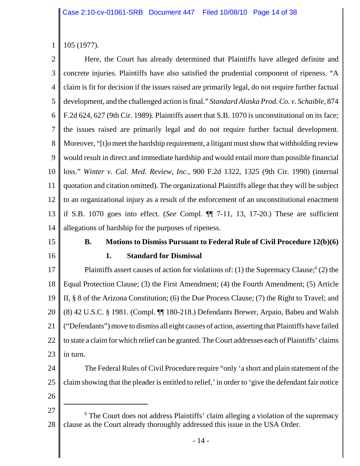1 105 (1977).

2 3 4 5 6 7 8 9 10 11 12 13 14 Here, the Court has already determined that Plaintiffs have alleged definite and concrete injuries. Plaintiffs have also satisfied the prudential component of ripeness. "A claim is fit for decision if the issues raised are primarily legal, do not require further factual development, and the challenged action is final." *Standard Alaska Prod. Co. v. Schaible*, 874 F.2d 624, 627 (9th Cir. 1989). Plaintiffs assert that S.B. 1070 is unconstitutional on its face; the issues raised are primarily legal and do not require further factual development. Moreover, "[t]o meet the hardship requirement, a litigant must show that withholding review would result in direct and immediate hardship and would entail more than possible financial loss." *Winter v. Cal. Med. Review, Inc.*, 900 F.2d 1322, 1325 (9th Cir. 1990) (internal quotation and citation omitted). The organizational Plaintiffs allege that they will be subject to an organizational injury as a result of the enforcement of an unconstitutional enactment if S.B. 1070 goes into effect. (*See* Compl. ¶¶ 7-11, 13, 17-20.) These are sufficient allegations of hardship for the purposes of ripeness.

# 15

16

**B. Motions to Dismiss Pursuant to Federal Rule of Civil Procedure 12(b)(6)**

# **1. Standard for Dismissal**

17 18 19 20 21 22 23 Plaintiffs assert causes of action for violations of: (1) the Supremacy Clause;  $(2)$  the Equal Protection Clause; (3) the First Amendment; (4) the Fourth Amendment; (5) Article II, § 8 of the Arizona Constitution; (6) the Due Process Clause; (7) the Right to Travel; and (8) 42 U.S.C. § 1981. (Compl. ¶¶ 180-218.) Defendants Brewer, Arpaio, Babeu and Walsh ("Defendants") move to dismiss all eight causes of action, asserting that Plaintiffs have failed to state a claim for which relief can be granted. The Court addresses each of Plaintiffs' claims in turn.

- 24 25 The Federal Rules of Civil Procedure require "only 'a short and plain statement of the claim showing that the pleader is entitled to relief,' in order to 'give the defendant fair notice
- 26

<sup>27</sup> 28 <sup>6</sup> The Court does not address Plaintiffs' claim alleging a violation of the supremacy clause as the Court already thoroughly addressed this issue in the USA Order.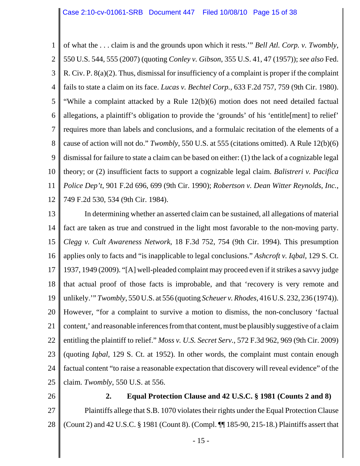1 2 3 4 5 6 7 8 9 10 11 12 of what the . . . claim is and the grounds upon which it rests.'" *Bell Atl. Corp. v. Twombly*, 550 U.S. 544, 555 (2007) (quoting *Conley v. Gibson*, 355 U.S. 41, 47 (1957)); *see also* Fed. R. Civ. P. 8(a)(2). Thus, dismissal for insufficiency of a complaint is proper if the complaint fails to state a claim on its face. *Lucas v. Bechtel Corp.*, 633 F.2d 757, 759 (9th Cir. 1980). "While a complaint attacked by a Rule 12(b)(6) motion does not need detailed factual allegations, a plaintiff's obligation to provide the 'grounds' of his 'entitle[ment] to relief' requires more than labels and conclusions, and a formulaic recitation of the elements of a cause of action will not do." *Twombly*, 550 U.S. at 555 (citations omitted). A Rule 12(b)(6) dismissal for failure to state a claim can be based on either: (1) the lack of a cognizable legal theory; or (2) insufficient facts to support a cognizable legal claim. *Balistreri v. Pacifica Police Dep't*, 901 F.2d 696, 699 (9th Cir. 1990); *Robertson v. Dean Witter Reynolds, Inc.*, 749 F.2d 530, 534 (9th Cir. 1984).

13 14 15 16 17 18 19 20 21 22 23 24 25 In determining whether an asserted claim can be sustained, all allegations of material fact are taken as true and construed in the light most favorable to the non-moving party. *Clegg v. Cult Awareness Network*, 18 F.3d 752, 754 (9th Cir. 1994). This presumption applies only to facts and "is inapplicable to legal conclusions." *Ashcroft v. Iqbal*, 129 S. Ct. 1937, 1949 (2009). "[A] well-pleaded complaint may proceed even if it strikes a savvy judge that actual proof of those facts is improbable, and that 'recovery is very remote and unlikely.'" *Twombly*, 550 U.S. at 556 (quoting *Scheuer v. Rhodes*, 416 U.S. 232, 236 (1974)). However, "for a complaint to survive a motion to dismiss, the non-conclusory 'factual content,' and reasonable inferences from that content, must be plausibly suggestive of a claim entitling the plaintiff to relief." *Moss v. U.S. Secret Serv.*, 572 F.3d 962, 969 (9th Cir. 2009) (quoting *Iqbal*, 129 S. Ct. at 1952). In other words, the complaint must contain enough factual content "to raise a reasonable expectation that discovery will reveal evidence" of the claim. *Twombly*, 550 U.S. at 556.

26 27 28 **2. Equal Protection Clause and 42 U.S.C. § 1981 (Counts 2 and 8)** Plaintiffs allege that S.B. 1070 violates their rights under the Equal Protection Clause (Count 2) and 42 U.S.C. § 1981 (Count 8). (Compl. ¶¶ 185-90, 215-18.) Plaintiffs assert that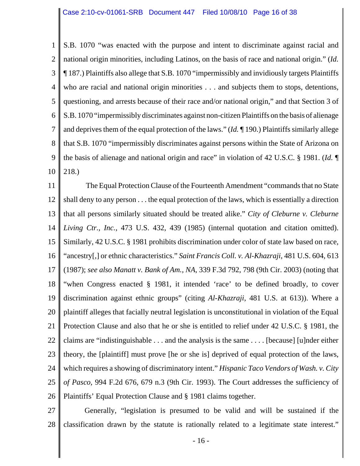1 2 3 4 5 6 7 8 9 10 S.B. 1070 "was enacted with the purpose and intent to discriminate against racial and national origin minorities, including Latinos, on the basis of race and national origin." (*Id.* ¶ 187.) Plaintiffs also allege that S.B. 1070 "impermissibly and invidiously targets Plaintiffs who are racial and national origin minorities . . . and subjects them to stops, detentions, questioning, and arrests because of their race and/or national origin," and that Section 3 of S.B. 1070 "impermissibly discriminates against non-citizen Plaintiffs on the basis of alienage and deprives them of the equal protection of the laws." (*Id.* ¶ 190.) Plaintiffs similarly allege that S.B. 1070 "impermissibly discriminates against persons within the State of Arizona on the basis of alienage and national origin and race" in violation of 42 U.S.C. § 1981. (*Id.* ¶ 218.)

11 12 13 14 15 16 17 18 19 20 21 22 23 24 25 26 The Equal Protection Clause of the Fourteenth Amendment "commands that no State shall deny to any person . . . the equal protection of the laws, which is essentially a direction that all persons similarly situated should be treated alike." *City of Cleburne v. Cleburne Living Ctr., Inc.*, 473 U.S. 432, 439 (1985) (internal quotation and citation omitted). Similarly, 42 U.S.C. § 1981 prohibits discrimination under color of state law based on race, "ancestry[,] or ethnic characteristics." *Saint Francis Coll. v. Al-Khazraji*, 481 U.S. 604, 613 (1987); *see also Manatt v. Bank of Am., NA*, 339 F.3d 792, 798 (9th Cir. 2003) (noting that "when Congress enacted § 1981, it intended 'race' to be defined broadly, to cover discrimination against ethnic groups" (citing *Al-Khazraji*, 481 U.S. at 613)). Where a plaintiff alleges that facially neutral legislation is unconstitutional in violation of the Equal Protection Clause and also that he or she is entitled to relief under 42 U.S.C. § 1981, the claims are "indistinguishable . . . and the analysis is the same . . . . [because] [u]nder either theory, the [plaintiff] must prove [he or she is] deprived of equal protection of the laws, which requires a showing of discriminatory intent." *Hispanic Taco Vendors of Wash. v. City of Pasco*, 994 F.2d 676, 679 n.3 (9th Cir. 1993). The Court addresses the sufficiency of Plaintiffs' Equal Protection Clause and § 1981 claims together.

27 28 Generally, "legislation is presumed to be valid and will be sustained if the classification drawn by the statute is rationally related to a legitimate state interest."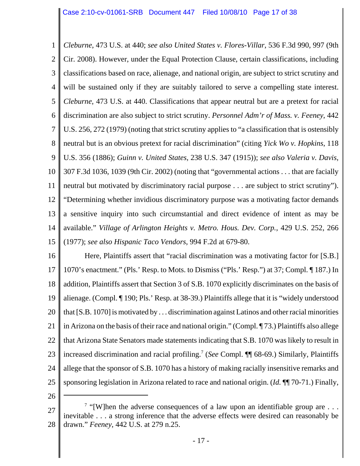1 2 3 4 5 6 7 8 9 10 11 12 13 14 15 *Cleburne*, 473 U.S. at 440; *see also United States v. Flores-Villar*, 536 F.3d 990, 997 (9th Cir. 2008). However, under the Equal Protection Clause, certain classifications, including classifications based on race, alienage, and national origin, are subject to strict scrutiny and will be sustained only if they are suitably tailored to serve a compelling state interest. *Cleburne*, 473 U.S. at 440. Classifications that appear neutral but are a pretext for racial discrimination are also subject to strict scrutiny. *Personnel Adm'r of Mass. v. Feeney*, 442 U.S. 256, 272 (1979) (noting that strict scrutiny applies to "a classification that is ostensibly neutral but is an obvious pretext for racial discrimination" (citing *Yick Wo v. Hopkins*, 118 U.S. 356 (1886); *Guinn v. United States*, 238 U.S. 347 (1915)); *see also Valeria v. Davis*, 307 F.3d 1036, 1039 (9th Cir. 2002) (noting that "governmental actions . . . that are facially neutral but motivated by discriminatory racial purpose . . . are subject to strict scrutiny"). "Determining whether invidious discriminatory purpose was a motivating factor demands a sensitive inquiry into such circumstantial and direct evidence of intent as may be available." *Village of Arlington Heights v. Metro. Hous. Dev. Corp.*, 429 U.S. 252, 266 (1977); *see also Hispanic Taco Vendors*, 994 F.2d at 679-80.

16 17 18 19 20 21 22 23 24 25 Here, Plaintiffs assert that "racial discrimination was a motivating factor for [S.B.] 1070's enactment." (Pls.' Resp. to Mots. to Dismiss ("Pls.' Resp.") at 37; Compl. ¶ 187.) In addition, Plaintiffs assert that Section 3 of S.B. 1070 explicitly discriminates on the basis of alienage. (Compl. ¶ 190; Pls.' Resp. at 38-39.) Plaintiffs allege that it is "widely understood that [S.B. 1070] is motivated by . . . discrimination against Latinos and other racial minorities in Arizona on the basis of their race and national origin." (Compl. ¶ 73.) Plaintiffs also allege that Arizona State Senators made statements indicating that S.B. 1070 was likely to result in increased discrimination and racial profiling.7 (*See* Compl. ¶¶ 68-69.) Similarly, Plaintiffs allege that the sponsor of S.B. 1070 has a history of making racially insensitive remarks and sponsoring legislation in Arizona related to race and national origin. (*Id.* ¶¶ 70-71.) Finally,

26

27 28 <sup>7</sup> "[W]hen the adverse consequences of a law upon an identifiable group are  $\dots$ inevitable . . . a strong inference that the adverse effects were desired can reasonably be drawn." *Feeney*, 442 U.S. at 279 n.25.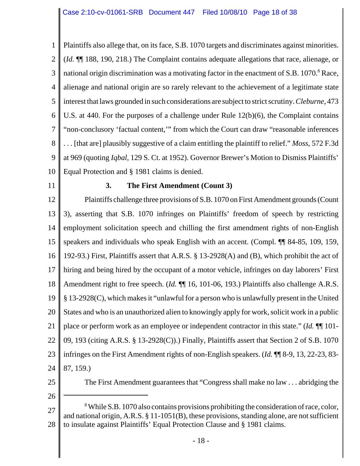1 2 3 4 5 6 7 8 9 10 Plaintiffs also allege that, on its face, S.B. 1070 targets and discriminates against minorities. (*Id.* ¶¶ 188, 190, 218.) The Complaint contains adequate allegations that race, alienage, or national origin discrimination was a motivating factor in the enactment of S.B. 1070.<sup>8</sup> Race, alienage and national origin are so rarely relevant to the achievement of a legitimate state interest that laws grounded in such considerations are subject to strict scrutiny. *Cleburne*, 473 U.S. at 440. For the purposes of a challenge under Rule 12(b)(6), the Complaint contains "non-conclusory 'factual content,'" from which the Court can draw "reasonable inferences . . . [that are] plausibly suggestive of a claim entitling the plaintiff to relief." *Moss*, 572 F.3d at 969 (quoting *Iqbal*, 129 S. Ct. at 1952). Governor Brewer's Motion to Dismiss Plaintiffs' Equal Protection and § 1981 claims is denied.

11

# **3. The First Amendment (Count 3)**

12 13 14 15 16 17 18 19 20 21 22 23 24 Plaintiffs challenge three provisions of S.B. 1070 on First Amendment grounds (Count 3), asserting that S.B. 1070 infringes on Plaintiffs' freedom of speech by restricting employment solicitation speech and chilling the first amendment rights of non-English speakers and individuals who speak English with an accent. (Compl. ¶¶ 84-85, 109, 159, 192-93.) First, Plaintiffs assert that A.R.S. § 13-2928(A) and (B), which prohibit the act of hiring and being hired by the occupant of a motor vehicle, infringes on day laborers' First Amendment right to free speech. (*Id.*  $\P$  16, 101-06, 193.) Plaintiffs also challenge A.R.S. § 13-2928(C), which makes it "unlawful for a person who is unlawfully present in the United States and who is an unauthorized alien to knowingly apply for work, solicit work in a public place or perform work as an employee or independent contractor in this state." (*Id.* ¶¶ 101- 09, 193 (citing A.R.S. § 13-2928(C)).) Finally, Plaintiffs assert that Section 2 of S.B. 1070 infringes on the First Amendment rights of non-English speakers. (*Id.* ¶¶ 8-9, 13, 22-23, 83- 87, 159.)

25

The First Amendment guarantees that "Congress shall make no law . . . abridging the

26

27 28 <sup>8</sup> While S.B. 1070 also contains provisions prohibiting the consideration of race, color, and national origin, A.R.S. § 11-1051(B), these provisions, standing alone, are not sufficient to insulate against Plaintiffs' Equal Protection Clause and § 1981 claims.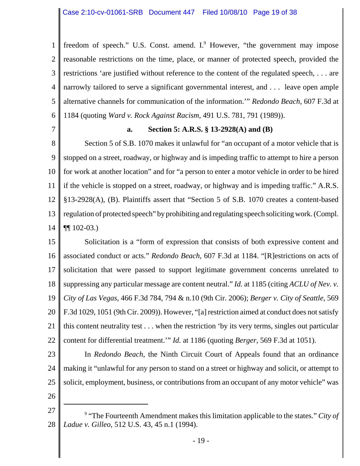1 2 3 4 5 6 freedom of speech." U.S. Const. amend. I.<sup>9</sup> However, "the government may impose reasonable restrictions on the time, place, or manner of protected speech, provided the restrictions 'are justified without reference to the content of the regulated speech, . . . are narrowly tailored to serve a significant governmental interest, and . . . leave open ample alternative channels for communication of the information.'" *Redondo Beach*, 607 F.3d at 1184 (quoting *Ward v. Rock Against Racism*, 491 U.S. 781, 791 (1989)).

7

## **a. Section 5: A.R.S. § 13-2928(A) and (B)**

8 9 10 11 12 13 14 Section 5 of S.B. 1070 makes it unlawful for "an occupant of a motor vehicle that is stopped on a street, roadway, or highway and is impeding traffic to attempt to hire a person for work at another location" and for "a person to enter a motor vehicle in order to be hired if the vehicle is stopped on a street, roadway, or highway and is impeding traffic." A.R.S. §13-2928(A), (B). Plaintiffs assert that "Section 5 of S.B. 1070 creates a content-based regulation of protected speech" by prohibiting and regulating speech soliciting work. (Compl. ¶¶ 102-03.)

15 16 17 18 19 20 21 22 Solicitation is a "form of expression that consists of both expressive content and associated conduct or acts." *Redondo Beach*, 607 F.3d at 1184. "[R]estrictions on acts of solicitation that were passed to support legitimate government concerns unrelated to suppressing any particular message are content neutral." *Id.* at 1185 (citing *ACLU of Nev. v. City of Las Vegas*, 466 F.3d 784, 794 & n.10 (9th Cir. 2006); *Berger v. City of Seattle*, 569 F.3d 1029, 1051 (9th Cir. 2009)). However, "[a] restriction aimed at conduct does not satisfy this content neutrality test . . . when the restriction 'by its very terms, singles out particular content for differential treatment.'" *Id.* at 1186 (quoting *Berger*, 569 F.3d at 1051).

23

24 25 In *Redondo Beach*, the Ninth Circuit Court of Appeals found that an ordinance making it "unlawful for any person to stand on a street or highway and solicit, or attempt to solicit, employment, business, or contributions from an occupant of any motor vehicle" was

26

<sup>27</sup> 28 9 "The Fourteenth Amendment makes this limitation applicable to the states." *City of Ladue v. Gilleo*, 512 U.S. 43, 45 n.1 (1994).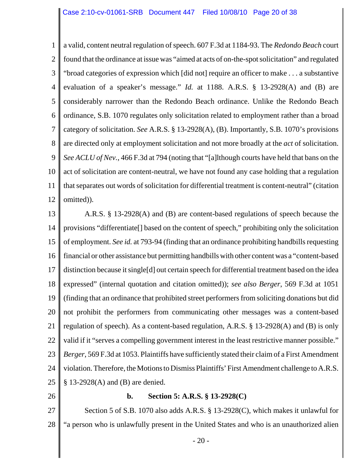1 2 3 4 5 6 7 8 9 10 11 12 a valid, content neutral regulation of speech. 607 F.3d at 1184-93. The *Redondo Beach* court found that the ordinance at issue was "aimed at acts of on-the-spot solicitation" and regulated "broad categories of expression which [did not] require an officer to make . . . a substantive evaluation of a speaker's message." *Id.* at 1188. A.R.S. § 13-2928(A) and (B) are considerably narrower than the Redondo Beach ordinance. Unlike the Redondo Beach ordinance, S.B. 1070 regulates only solicitation related to employment rather than a broad category of solicitation. *See* A.R.S. § 13-2928(A), (B). Importantly, S.B. 1070's provisions are directed only at employment solicitation and not more broadly at the *act* of solicitation. *See ACLU of Nev.*, 466 F.3d at 794 (noting that "[a]lthough courts have held that bans on the act of solicitation are content-neutral, we have not found any case holding that a regulation that separates out words of solicitation for differential treatment is content-neutral" (citation omitted)).

13 14 15 16 17 18 19 20 21 22 23 24 25 A.R.S. § 13-2928(A) and (B) are content-based regulations of speech because the provisions "differentiate[] based on the content of speech," prohibiting only the solicitation of employment. *See id.* at 793-94 (finding that an ordinance prohibiting handbills requesting financial or other assistance but permitting handbills with other content was a "content-based distinction because it single[d] out certain speech for differential treatment based on the idea expressed" (internal quotation and citation omitted)); *see also Berger*, 569 F.3d at 1051 (finding that an ordinance that prohibited street performers from soliciting donations but did not prohibit the performers from communicating other messages was a content-based regulation of speech). As a content-based regulation, A.R.S. § 13-2928(A) and (B) is only valid if it "serves a compelling government interest in the least restrictive manner possible." *Berger*, 569 F.3d at 1053. Plaintiffs have sufficiently stated their claim of a First Amendment violation. Therefore, the Motions to Dismiss Plaintiffs' First Amendment challenge to A.R.S. § 13-2928(A) and (B) are denied.

26

## **b. Section 5: A.R.S. § 13-2928(C)**

27 28 Section 5 of S.B. 1070 also adds A.R.S. § 13-2928(C), which makes it unlawful for "a person who is unlawfully present in the United States and who is an unauthorized alien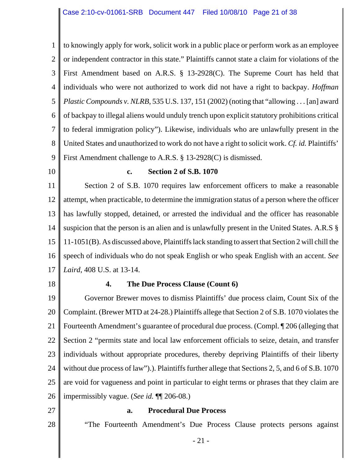1 2 3 4 5 6 7 8 9 to knowingly apply for work, solicit work in a public place or perform work as an employee or independent contractor in this state." Plaintiffs cannot state a claim for violations of the First Amendment based on A.R.S. § 13-2928(C). The Supreme Court has held that individuals who were not authorized to work did not have a right to backpay. *Hoffman Plastic Compounds v. NLRB*, 535 U.S. 137, 151 (2002) (noting that "allowing . . . [an] award of backpay to illegal aliens would unduly trench upon explicit statutory prohibitions critical to federal immigration policy"). Likewise, individuals who are unlawfully present in the United States and unauthorized to work do not have a right to solicit work. *Cf. id.* Plaintiffs' First Amendment challenge to A.R.S. § 13-2928(C) is dismissed.

10

#### **c. Section 2 of S.B. 1070**

11 12 13 14 15 16 17 Section 2 of S.B. 1070 requires law enforcement officers to make a reasonable attempt, when practicable, to determine the immigration status of a person where the officer has lawfully stopped, detained, or arrested the individual and the officer has reasonable suspicion that the person is an alien and is unlawfully present in the United States. A.R.S § 11-1051(B). As discussed above, Plaintiffs lack standing to assert that Section 2 will chill the speech of individuals who do not speak English or who speak English with an accent. *See Laird*, 408 U.S. at 13-14.

18

## **4. The Due Process Clause (Count 6)**

19 20 21 22 23 24 25 26 Governor Brewer moves to dismiss Plaintiffs' due process claim, Count Six of the Complaint. (Brewer MTD at 24-28.) Plaintiffs allege that Section 2 of S.B. 1070 violates the Fourteenth Amendment's guarantee of procedural due process. (Compl. ¶ 206 (alleging that Section 2 "permits state and local law enforcement officials to seize, detain, and transfer individuals without appropriate procedures, thereby depriving Plaintiffs of their liberty without due process of law").). Plaintiffs further allege that Sections 2, 5, and 6 of S.B. 1070 are void for vagueness and point in particular to eight terms or phrases that they claim are impermissibly vague. (*See id.* ¶¶ 206-08.)

- 27
- 28

#### **a. Procedural Due Process**

"The Fourteenth Amendment's Due Process Clause protects persons against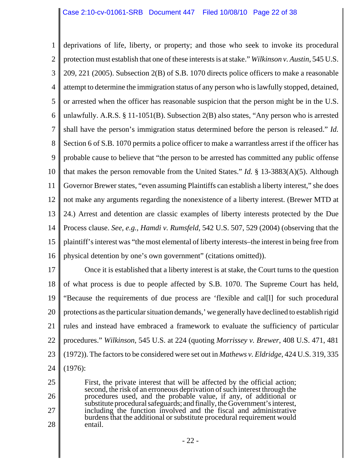1 2 3 4 5 6 7 8 9 10 11 12 13 14 15 16 deprivations of life, liberty, or property; and those who seek to invoke its procedural protection must establish that one of these interests is at stake." *Wilkinson v. Austin*, 545 U.S. 209, 221 (2005). Subsection 2(B) of S.B. 1070 directs police officers to make a reasonable attempt to determine the immigration status of any person who is lawfully stopped, detained, or arrested when the officer has reasonable suspicion that the person might be in the U.S. unlawfully. A.R.S. § 11-1051(B). Subsection 2(B) also states, "Any person who is arrested shall have the person's immigration status determined before the person is released." *Id.* Section 6 of S.B. 1070 permits a police officer to make a warrantless arrest if the officer has probable cause to believe that "the person to be arrested has committed any public offense that makes the person removable from the United States." *Id.* § 13-3883(A)(5). Although Governor Brewer states, "even assuming Plaintiffs can establish a liberty interest," she does not make any arguments regarding the nonexistence of a liberty interest. (Brewer MTD at 24.) Arrest and detention are classic examples of liberty interests protected by the Due Process clause. *See, e.g.*, *Hamdi v. Rumsfeld*, 542 U.S. 507, 529 (2004) (observing that the plaintiff's interest was "the most elemental of liberty interests–the interest in being free from physical detention by one's own government" (citations omitted)).

17 18 19 20 21 22 23 24 Once it is established that a liberty interest is at stake, the Court turns to the question of what process is due to people affected by S.B. 1070. The Supreme Court has held, "Because the requirements of due process are 'flexible and cal[l] for such procedural protections as the particular situation demands,' we generally have declined to establish rigid rules and instead have embraced a framework to evaluate the sufficiency of particular procedures." *Wilkinson*, 545 U.S. at 224 (quoting *Morrissey v. Brewer*, 408 U.S. 471, 481 (1972)). The factors to be considered were set out in *Mathews v. Eldridge*, 424 U.S. 319, 335 (1976):

25 26 27 28 First, the private interest that will be affected by the official action; second, the risk of an erroneous deprivation of such interest through the procedures used, and the probable value, if any, of additional or substitute procedural safeguards; and finally, the Government's interest, including the function involved and the fiscal and administrative burdens that the additional or substitute procedural requirement would entail.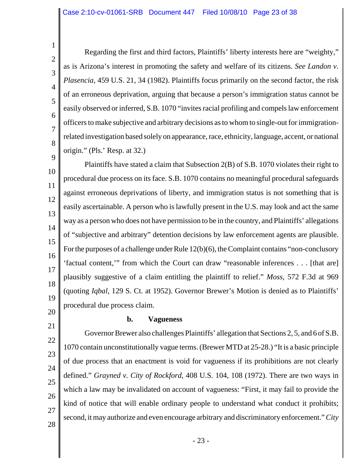1 2 3 4 5 6 7 8 Regarding the first and third factors, Plaintiffs' liberty interests here are "weighty," as is Arizona's interest in promoting the safety and welfare of its citizens. *See Landon v. Plasencia*, 459 U.S. 21, 34 (1982). Plaintiffs focus primarily on the second factor, the risk of an erroneous deprivation, arguing that because a person's immigration status cannot be easily observed or inferred, S.B. 1070 "invites racial profiling and compels law enforcement officers to make subjective and arbitrary decisions as to whom to single-out for immigrationrelated investigation based solely on appearance, race, ethnicity, language, accent, or national origin." (Pls.' Resp. at 32.)

9 10 11 12 13 14 15 16 17 18 19 Plaintiffs have stated a claim that Subsection 2(B) of S.B. 1070 violates their right to procedural due process on its face. S.B. 1070 contains no meaningful procedural safeguards against erroneous deprivations of liberty, and immigration status is not something that is easily ascertainable. A person who is lawfully present in the U.S. may look and act the same way as a person who does not have permission to be in the country, and Plaintiffs' allegations of "subjective and arbitrary" detention decisions by law enforcement agents are plausible. For the purposes of a challenge under Rule 12(b)(6), the Complaint contains "non-conclusory 'factual content,'" from which the Court can draw "reasonable inferences . . . [that are] plausibly suggestive of a claim entitling the plaintiff to relief." *Moss*, 572 F.3d at 969 (quoting *Iqbal*, 129 S. Ct. at 1952). Governor Brewer's Motion is denied as to Plaintiffs' procedural due process claim.

20 21

22

23

24

25

26

27

28

# **b. Vagueness**

Governor Brewer also challenges Plaintiffs' allegation that Sections 2, 5, and 6 of S.B. 1070 contain unconstitutionally vague terms. (Brewer MTD at 25-28.) "It is a basic principle of due process that an enactment is void for vagueness if its prohibitions are not clearly defined." *Grayned v. City of Rockford*, 408 U.S. 104, 108 (1972). There are two ways in which a law may be invalidated on account of vagueness: "First, it may fail to provide the kind of notice that will enable ordinary people to understand what conduct it prohibits; second, it may authorize and even encourage arbitrary and discriminatory enforcement." *City*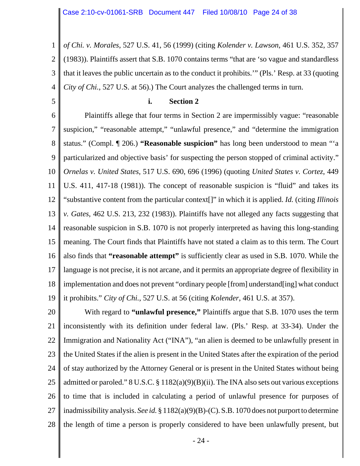1 2 3 4 *of Chi. v. Morales*, 527 U.S. 41, 56 (1999) (citing *Kolender v. Lawson*, 461 U.S. 352, 357 (1983)). Plaintiffs assert that S.B. 1070 contains terms "that are 'so vague and standardless that it leaves the public uncertain as to the conduct it prohibits.'" (Pls.' Resp. at 33 (quoting *City of Chi.*, 527 U.S. at 56).) The Court analyzes the challenged terms in turn.

5

#### **i. Section 2**

6 7 8 9 10 11 12 13 14 15 16 17 18 19 Plaintiffs allege that four terms in Section 2 are impermissibly vague: "reasonable suspicion," "reasonable attempt," "unlawful presence," and "determine the immigration status." (Compl. ¶ 206.) **"Reasonable suspicion"** has long been understood to mean "'a particularized and objective basis' for suspecting the person stopped of criminal activity." *Ornelas v. United States*, 517 U.S. 690, 696 (1996) (quoting *United States v. Cortez*, 449 U.S. 411, 417-18 (1981)). The concept of reasonable suspicion is "fluid" and takes its "substantive content from the particular context[]" in which it is applied. *Id.* (citing *Illinois v. Gates*, 462 U.S. 213, 232 (1983)). Plaintiffs have not alleged any facts suggesting that reasonable suspicion in S.B. 1070 is not properly interpreted as having this long-standing meaning. The Court finds that Plaintiffs have not stated a claim as to this term. The Court also finds that **"reasonable attempt"** is sufficiently clear as used in S.B. 1070. While the language is not precise, it is not arcane, and it permits an appropriate degree of flexibility in implementation and does not prevent "ordinary people [from] understand[ing] what conduct it prohibits." *City of Chi.*, 527 U.S. at 56 (citing *Kolender*, 461 U.S. at 357).

20 21 22 23 24 25 26 27 28 With regard to **"unlawful presence,"** Plaintiffs argue that S.B. 1070 uses the term inconsistently with its definition under federal law. (Pls.' Resp. at 33-34). Under the Immigration and Nationality Act ("INA"), "an alien is deemed to be unlawfully present in the United States if the alien is present in the United States after the expiration of the period of stay authorized by the Attorney General or is present in the United States without being admitted or paroled."  $8 \text{ U.S.C.} \$  $8 \frac{1182(a)(9)(B)(ii)}{2}$ . The INA also sets out various exceptions to time that is included in calculating a period of unlawful presence for purposes of inadmissibility analysis. *See id.* § 1182(a)(9)(B)-(C). S.B. 1070 does not purport to determine the length of time a person is properly considered to have been unlawfully present, but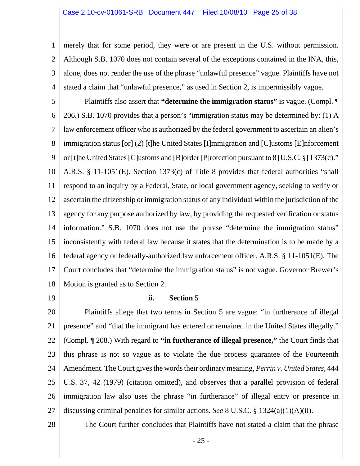1 2 3 4 merely that for some period, they were or are present in the U.S. without permission. Although S.B. 1070 does not contain several of the exceptions contained in the INA, this, alone, does not render the use of the phrase "unlawful presence" vague. Plaintiffs have not stated a claim that "unlawful presence," as used in Section 2, is impermissibly vague.

5 6 7 8 9 10 11 12 13 14 15 16 17 18 Plaintiffs also assert that **"determine the immigration status"** is vague. (Compl. ¶ 206.) S.B. 1070 provides that a person's "immigration status may be determined by: (1) A law enforcement officer who is authorized by the federal government to ascertain an alien's immigration status [or] (2) [t]he United States [I]mmigration and [C]ustoms [E]nforcement or [t]he United States [C]ustoms and [B]order [P]rotection pursuant to 8 [U.S.C. §] 1373(c)." A.R.S. § 11-1051(E). Section 1373(c) of Title 8 provides that federal authorities "shall respond to an inquiry by a Federal, State, or local government agency, seeking to verify or ascertain the citizenship or immigration status of any individual within the jurisdiction of the agency for any purpose authorized by law, by providing the requested verification or status information." S.B. 1070 does not use the phrase "determine the immigration status" inconsistently with federal law because it states that the determination is to be made by a federal agency or federally-authorized law enforcement officer. A.R.S. § 11-1051(E). The Court concludes that "determine the immigration status" is not vague. Governor Brewer's Motion is granted as to Section 2.

19

## **ii. Section 5**

20 21 22 23 24 25 26 27 Plaintiffs allege that two terms in Section 5 are vague: "in furtherance of illegal presence" and "that the immigrant has entered or remained in the United States illegally." (Compl. ¶ 208.) With regard to **"in furtherance of illegal presence,"** the Court finds that this phrase is not so vague as to violate the due process guarantee of the Fourteenth Amendment. The Court gives the words their ordinary meaning, *Perrin v. United States*, 444 U.S. 37, 42 (1979) (citation omitted), and observes that a parallel provision of federal immigration law also uses the phrase "in furtherance" of illegal entry or presence in discussing criminal penalties for similar actions. *See* 8 U.S.C. § 1324(a)(1)(A)(ii).

28

The Court further concludes that Plaintiffs have not stated a claim that the phrase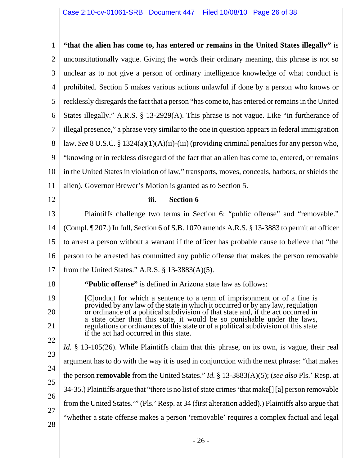| 1              | "that the alien has come to, has entered or remains in the United States illegally" is                                                                        |
|----------------|---------------------------------------------------------------------------------------------------------------------------------------------------------------|
| $\overline{2}$ | unconstitutionally vague. Giving the words their ordinary meaning, this phrase is not so                                                                      |
| 3              | unclear as to not give a person of ordinary intelligence knowledge of what conduct is                                                                         |
| $\overline{4}$ | prohibited. Section 5 makes various actions unlawful if done by a person who knows or                                                                         |
| 5              | recklessly disregards the fact that a person "has come to, has entered or remains in the United                                                               |
| 6              | States illegally." A.R.S. § 13-2929(A). This phrase is not vague. Like "in furtherance of                                                                     |
| $\overline{7}$ | illegal presence," a phrase very similar to the one in question appears in federal immigration                                                                |
| 8              | law. See 8 U.S.C. § 1324(a)(1)(A)(ii)-(iii) (providing criminal penalties for any person who,                                                                 |
| 9              | "knowing or in reckless disregard of the fact that an alien has come to, entered, or remains                                                                  |
| 10             | in the United States in violation of law," transports, moves, conceals, harbors, or shields the                                                               |
| 11             | alien). Governor Brewer's Motion is granted as to Section 5.                                                                                                  |
| 12             | <b>Section 6</b><br>iii.                                                                                                                                      |
| 13             | Plaintiffs challenge two terms in Section 6: "public offense" and "removable."                                                                                |
| 14             | (Compl. ¶ 207.) In full, Section 6 of S.B. 1070 amends A.R.S. § 13-3883 to permit an officer                                                                  |
| 15             | to arrest a person without a warrant if the officer has probable cause to believe that "the                                                                   |
| 16             | person to be arrested has committed any public offense that makes the person removable                                                                        |
| 17             | from the United States." A.R.S. $\S$ 13-3883(A)(5).                                                                                                           |
| 18             | "Public offense" is defined in Arizona state law as follows:                                                                                                  |
| 19             | [C]onduct for which a sentence to a term of imprisonment or of a fine is<br>provided by any law of the state in which it occurred or by any law, regulation   |
| 20             | or ordinance of a political subdivision of that state and, if the act occurred in<br>a state other than this state, it would be so punishable under the laws, |
| 21             | regulations or ordinances of this state or of a political subdivision of this state<br>if the act had occurred in this state.                                 |
| 22             | <i>Id.</i> § 13-105(26). While Plaintiffs claim that this phrase, on its own, is vague, their real                                                            |
| 23             | argument has to do with the way it is used in conjunction with the next phrase: "that makes"                                                                  |
| 24             | the person <b>removable</b> from the United States." <i>Id.</i> § 13-3883(A)(5); (see also Pls.' Resp. at                                                     |
| 25             | 34-35.) Plaintiffs argue that "there is no list of state crimes 'that make[] [a] person removable                                                             |
| 26             | from the United States."" (Pls.' Resp. at 34 (first alteration added).) Plaintiffs also argue that                                                            |
| 27             | "whether a state offense makes a person 'removable' requires a complex factual and legal                                                                      |
| 28             |                                                                                                                                                               |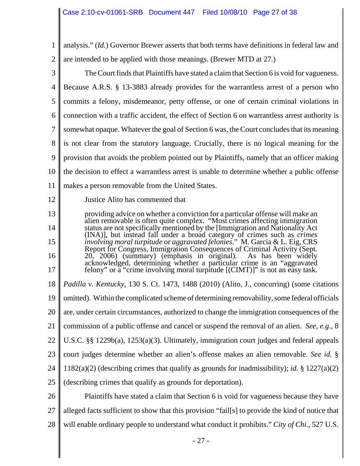| 1              | analysis." (Id.) Governor Brewer asserts that both terms have definitions in federal law and                                                                |
|----------------|-------------------------------------------------------------------------------------------------------------------------------------------------------------|
| $\overline{2}$ | are intended to be applied with those meanings. (Brewer MTD at 27.)                                                                                         |
| 3              | The Court finds that Plaintiffs have stated a claim that Section 6 is void for vagueness.                                                                   |
| $\overline{4}$ | Because A.R.S. § 13-3883 already provides for the warrantless arrest of a person who                                                                        |
| 5              | commits a felony, misdemeanor, petty offense, or one of certain criminal violations in                                                                      |
| 6              | connection with a traffic accident, the effect of Section 6 on warrantless arrest authority is                                                              |
| 7              | somewhat opaque. Whatever the goal of Section 6 was, the Court concludes that its meaning                                                                   |
| 8              | is not clear from the statutory language. Crucially, there is no logical meaning for the                                                                    |
| 9              | provision that avoids the problem pointed out by Plaintiffs, namely that an officer making                                                                  |
| 10             | the decision to effect a warrantless arrest is unable to determine whether a public offense                                                                 |
| 11             | makes a person removable from the United States.                                                                                                            |
| 12             | Justice Alito has commented that                                                                                                                            |
| 13             | providing advice on whether a conviction for a particular offense will make an                                                                              |
| 14             | alien removable is often quite complex. "Most crimes affecting immigration<br>status are not specifically mentioned by the [Immigration and Nationality Act |
| 15             | (INA)], but instead fall under a broad category of crimes such as <i>crimes</i> involving moral turpitude or aggravated felonies." M. Garcia & L. Eig, CRS  |
| 16             | Report for Congress, Immigration Consequences of Criminal Activity (Sept.<br>20, 2006) (summary) (emphasis in original).<br>As has been widely              |
| 17             | acknowledged, determining whether a particular crime is an "aggravated felony" or a "crime involving moral turpitude [(CIMT)]" is not an easy task.         |
| 18             | Padilla v. Kentucky, 130 S. Ct. 1473, 1488 (2010) (Alito, J., concurring) (some citations                                                                   |
| 19             | omitted). Within the complicated scheme of determining removability, some federal officials                                                                 |
| 20             | are, under certain circumstances, authorized to change the immigration consequences of the                                                                  |
| 21             | commission of a public offense and cancel or suspend the removal of an alien. See, e.g., 8                                                                  |
| 22             | U.S.C. §§ 1229b(a), 1253(a)(3). Ultimately, immigration court judges and federal appeals                                                                    |
| 23             | court judges determine whether an alien's offense makes an alien removable. See id. §                                                                       |
| 24             | 1182(a)(2) (describing crimes that qualify as grounds for inadmissibility); <i>id.</i> § 1227(a)(2)                                                         |
| 25             | (describing crimes that qualify as grounds for deportation).                                                                                                |
| 26             | Plaintiffs have stated a claim that Section 6 is void for vagueness because they have                                                                       |
| 27             | alleged facts sufficient to show that this provision "fail[s] to provide the kind of notice that                                                            |
| 28             | will enable ordinary people to understand what conduct it prohibits." City of Chi., 527 U.S.                                                                |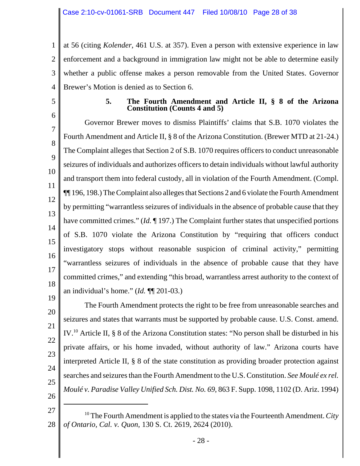1 2 3 4 at 56 (citing *Kolender*, 461 U.S. at 357). Even a person with extensive experience in law enforcement and a background in immigration law might not be able to determine easily whether a public offense makes a person removable from the United States. Governor Brewer's Motion is denied as to Section 6.

5

6

# **5. The Fourth Amendment and Article II, § 8 of the Arizona Constitution (Counts 4 and 5)**

7 8 9 10 11 12 13 14 15 16 17 18 19 Governor Brewer moves to dismiss Plaintiffs' claims that S.B. 1070 violates the Fourth Amendment and Article II, § 8 of the Arizona Constitution. (Brewer MTD at 21-24.) The Complaint alleges that Section 2 of S.B. 1070 requires officers to conduct unreasonable seizures of individuals and authorizes officers to detain individuals without lawful authority and transport them into federal custody, all in violation of the Fourth Amendment. (Compl. ¶¶ 196, 198.) The Complaint also alleges that Sections 2 and 6 violate the Fourth Amendment by permitting "warrantless seizures of individuals in the absence of probable cause that they have committed crimes." (*Id.* 197.) The Complaint further states that unspecified portions of S.B. 1070 violate the Arizona Constitution by "requiring that officers conduct investigatory stops without reasonable suspicion of criminal activity," permitting "warrantless seizures of individuals in the absence of probable cause that they have committed crimes," and extending "this broad, warrantless arrest authority to the context of an individual's home." (*Id.* ¶¶ 201-03.)

20 21 22 23 24 25 The Fourth Amendment protects the right to be free from unreasonable searches and seizures and states that warrants must be supported by probable cause. U.S. Const. amend. IV.10 Article II, § 8 of the Arizona Constitution states: "No person shall be disturbed in his private affairs, or his home invaded, without authority of law." Arizona courts have interpreted Article II, § 8 of the state constitution as providing broader protection against searches and seizures than the Fourth Amendment to the U.S. Constitution. *See Moulé ex rel. Moulé v. Paradise Valley Unified Sch. Dist. No. 69*, 863 F. Supp. 1098, 1102 (D. Ariz. 1994)

26

<sup>27</sup> 28 10 The Fourth Amendment is applied to the states via the Fourteenth Amendment. *City of Ontario, Cal. v. Quon*, 130 S. Ct. 2619, 2624 (2010).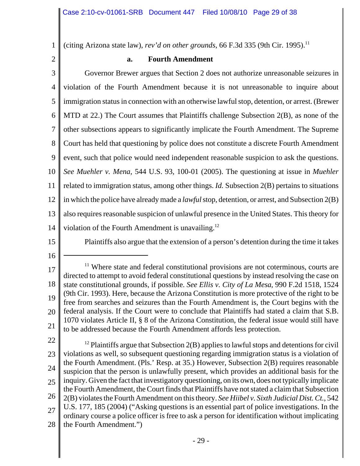1 (citing Arizona state law), *rev'd on other grounds*, 66 F.3d 335 (9th Cir. 1995).<sup>11</sup>

2

# **a. Fourth Amendment**

3 4 5 6 7 8 9 10 11 12 13 14 Governor Brewer argues that Section 2 does not authorize unreasonable seizures in violation of the Fourth Amendment because it is not unreasonable to inquire about immigration status in connection with an otherwise lawful stop, detention, or arrest. (Brewer MTD at 22.) The Court assumes that Plaintiffs challenge Subsection 2(B), as none of the other subsections appears to significantly implicate the Fourth Amendment. The Supreme Court has held that questioning by police does not constitute a discrete Fourth Amendment event, such that police would need independent reasonable suspicion to ask the questions. *See Muehler v. Mena*, 544 U.S. 93, 100-01 (2005). The questioning at issue in *Muehler* related to immigration status, among other things. *Id.* Subsection 2(B) pertains to situations in which the police have already made a *lawful* stop, detention, or arrest, and Subsection 2(B) also requires reasonable suspicion of unlawful presence in the United States. This theory for violation of the Fourth Amendment is unavailing.<sup>12</sup>

15

Plaintiffs also argue that the extension of a person's detention during the time it takes

16

22

23 24 25 26 27 28  $12$  Plaintiffs argue that Subsection 2(B) applies to lawful stops and detentions for civil violations as well, so subsequent questioning regarding immigration status is a violation of the Fourth Amendment. (Pls.' Resp. at 35.) However, Subsection 2(B) requires reasonable suspicion that the person is unlawfully present, which provides an additional basis for the inquiry. Given the fact that investigatory questioning, on its own, does not typically implicate the Fourth Amendment, the Court finds that Plaintiffs have not stated a claim that Subsection 2(B) violates the Fourth Amendment on this theory. *See Hiibel v. Sixth Judicial Dist. Ct.*, 542 U.S. 177, 185 (2004) ("Asking questions is an essential part of police investigations. In the ordinary course a police officer is free to ask a person for identification without implicating the Fourth Amendment.")

<sup>17</sup> 18 19 20 21 <sup>11</sup> Where state and federal constitutional provisions are not coterminous, courts are directed to attempt to avoid federal constitutional questions by instead resolving the case on state constitutional grounds, if possible. *See Ellis v. City of La Mesa*, 990 F.2d 1518, 1524 (9th Cir. 1993). Here, because the Arizona Constitution is more protective of the right to be free from searches and seizures than the Fourth Amendment is, the Court begins with the federal analysis. If the Court were to conclude that Plaintiffs had stated a claim that S.B. 1070 violates Article II, § 8 of the Arizona Constitution, the federal issue would still have to be addressed because the Fourth Amendment affords less protection.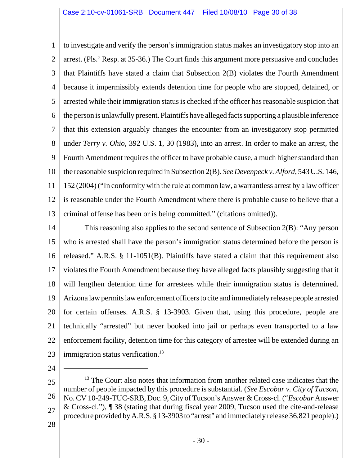1 2 3 4 5 6 7 8 9 10 11 12 13 to investigate and verify the person's immigration status makes an investigatory stop into an arrest. (Pls.' Resp. at 35-36.) The Court finds this argument more persuasive and concludes that Plaintiffs have stated a claim that Subsection 2(B) violates the Fourth Amendment because it impermissibly extends detention time for people who are stopped, detained, or arrested while their immigration status is checked if the officer has reasonable suspicion that the person is unlawfully present. Plaintiffs have alleged facts supporting a plausible inference that this extension arguably changes the encounter from an investigatory stop permitted under *Terry v. Ohio*, 392 U.S. 1, 30 (1983), into an arrest. In order to make an arrest, the Fourth Amendment requires the officer to have probable cause, a much higher standard than the reasonable suspicion required in Subsection 2(B). *See Devenpeck v. Alford*, 543 U.S. 146, 152 (2004) ("In conformity with the rule at common law, a warrantless arrest by a law officer is reasonable under the Fourth Amendment where there is probable cause to believe that a criminal offense has been or is being committed." (citations omitted)).

14 15 16 17 18 19 20 21 22 23 This reasoning also applies to the second sentence of Subsection 2(B): "Any person who is arrested shall have the person's immigration status determined before the person is released." A.R.S. § 11-1051(B). Plaintiffs have stated a claim that this requirement also violates the Fourth Amendment because they have alleged facts plausibly suggesting that it will lengthen detention time for arrestees while their immigration status is determined. Arizona law permits law enforcement officers to cite and immediately release people arrested for certain offenses. A.R.S. § 13-3903. Given that, using this procedure, people are technically "arrested" but never booked into jail or perhaps even transported to a law enforcement facility, detention time for this category of arrestee will be extended during an immigration status verification.<sup>13</sup>

24

25 26 27 <sup>13</sup> The Court also notes that information from another related case indicates that the number of people impacted by this procedure is substantial. (*See Escobar v. City of Tucson*, No. CV 10-249-TUC-SRB, Doc. 9, City of Tucson's Answer & Cross-cl. ("*Escobar* Answer & Cross-cl."), ¶ 38 (stating that during fiscal year 2009, Tucson used the cite-and-release procedure provided by A.R.S. § 13-3903 to "arrest" and immediately release 36,821 people).)

28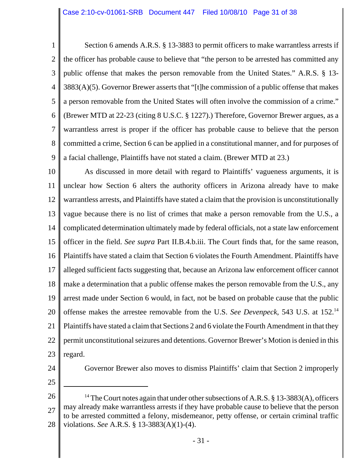1 2 3 4 5 6 7 8 9 Section 6 amends A.R.S. § 13-3883 to permit officers to make warrantless arrests if the officer has probable cause to believe that "the person to be arrested has committed any public offense that makes the person removable from the United States." A.R.S. § 13- 3883(A)(5). Governor Brewer asserts that "[t]he commission of a public offense that makes a person removable from the United States will often involve the commission of a crime." (Brewer MTD at 22-23 (citing 8 U.S.C. § 1227).) Therefore, Governor Brewer argues, as a warrantless arrest is proper if the officer has probable cause to believe that the person committed a crime, Section 6 can be applied in a constitutional manner, and for purposes of a facial challenge, Plaintiffs have not stated a claim. (Brewer MTD at 23.)

10 11 12 13 14 15 16 17 18 19 20 21 22 23 As discussed in more detail with regard to Plaintiffs' vagueness arguments, it is unclear how Section 6 alters the authority officers in Arizona already have to make warrantless arrests, and Plaintiffs have stated a claim that the provision is unconstitutionally vague because there is no list of crimes that make a person removable from the U.S., a complicated determination ultimately made by federal officials, not a state law enforcement officer in the field. *See supra* Part II.B.4.b.iii. The Court finds that, for the same reason, Plaintiffs have stated a claim that Section 6 violates the Fourth Amendment. Plaintiffs have alleged sufficient facts suggesting that, because an Arizona law enforcement officer cannot make a determination that a public offense makes the person removable from the U.S., any arrest made under Section 6 would, in fact, not be based on probable cause that the public offense makes the arrestee removable from the U.S. *See Devenpeck*, 543 U.S. at 152.14 Plaintiffs have stated a claim that Sections 2 and 6 violate the Fourth Amendment in that they permit unconstitutional seizures and detentions. Governor Brewer's Motion is denied in this regard.

24

Governor Brewer also moves to dismiss Plaintiffs' claim that Section 2 improperly

25

26 27 28 <sup>14</sup> The Court notes again that under other subsections of A.R.S. § 13-3883(A), officers may already make warrantless arrests if they have probable cause to believe that the person to be arrested committed a felony, misdemeanor, petty offense, or certain criminal traffic violations. *See* A.R.S. § 13-3883(A)(1)-(4).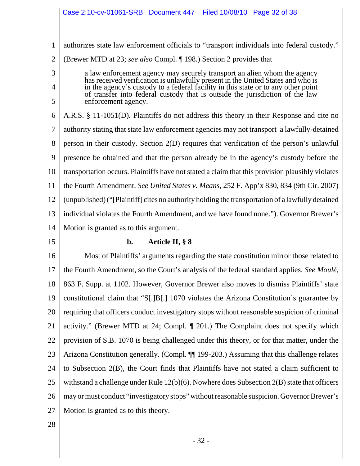1 authorizes state law enforcement officials to "transport individuals into federal custody."

2 (Brewer MTD at 23; *see also* Compl. ¶ 198.) Section 2 provides that

> a law enforcement agency may securely transport an alien whom the agency has received verification is unlawfully present in the United States and who is in the agency's custody to a federal facility in this state or to any other point of transfer into federal custody that is outside the jurisdiction of the law enforcement agency.

6 7 8 9 10 11 12 13 14 A.R.S. § 11-1051(D). Plaintiffs do not address this theory in their Response and cite no authority stating that state law enforcement agencies may not transport a lawfully-detained person in their custody. Section 2(D) requires that verification of the person's unlawful presence be obtained and that the person already be in the agency's custody before the transportation occurs. Plaintiffs have not stated a claim that this provision plausibly violates the Fourth Amendment. *See United States v. Means*, 252 F. App'x 830, 834 (9th Cir. 2007) (unpublished) ("[Plaintiff] cites no authority holding the transportation of a lawfully detained individual violates the Fourth Amendment, and we have found none."). Governor Brewer's Motion is granted as to this argument.

15

3

4

5

# **b. Article II, § 8**

16 17 18 19 20 21 22 23 24 25 26 27 Most of Plaintiffs' arguments regarding the state constitution mirror those related to the Fourth Amendment, so the Court's analysis of the federal standard applies. *See Moulé*, 863 F. Supp. at 1102. However, Governor Brewer also moves to dismiss Plaintiffs' state constitutional claim that "S[.]B[.] 1070 violates the Arizona Constitution's guarantee by requiring that officers conduct investigatory stops without reasonable suspicion of criminal activity." (Brewer MTD at 24; Compl. ¶ 201.) The Complaint does not specify which provision of S.B. 1070 is being challenged under this theory, or for that matter, under the Arizona Constitution generally. (Compl. ¶¶ 199-203.) Assuming that this challenge relates to Subsection 2(B), the Court finds that Plaintiffs have not stated a claim sufficient to withstand a challenge under Rule  $12(b)(6)$ . Nowhere does Subsection  $2(B)$  state that officers may or must conduct "investigatory stops" without reasonable suspicion. Governor Brewer's Motion is granted as to this theory.

28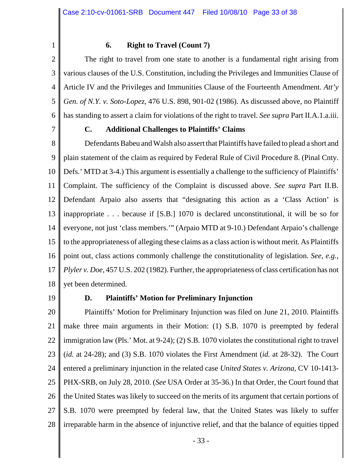1

# **6. Right to Travel (Count 7)**

2 3 4 5 6 The right to travel from one state to another is a fundamental right arising from various clauses of the U.S. Constitution, including the Privileges and Immunities Clause of Article IV and the Privileges and Immunities Clause of the Fourteenth Amendment. *Att'y Gen. of N.Y. v. Soto-Lopez*, 476 U.S. 898, 901-02 (1986). As discussed above, no Plaintiff has standing to assert a claim for violations of the right to travel. *See supra* Part II.A.1.a.iii.

7

## **C. Additional Challenges to Plaintiffs' Claims**

8 9 10 11 12 13 14 15 16 17 18 Defendants Babeu and Walsh also assert that Plaintiffs have failed to plead a short and plain statement of the claim as required by Federal Rule of Civil Procedure 8. (Pinal Cnty. Defs.' MTD at 3-4.) This argument is essentially a challenge to the sufficiency of Plaintiffs' Complaint. The sufficiency of the Complaint is discussed above. *See supra* Part II.B. Defendant Arpaio also asserts that "designating this action as a 'Class Action' is inappropriate . . . because if [S.B.] 1070 is declared unconstitutional, it will be so for everyone, not just 'class members.'" (Arpaio MTD at 9-10.) Defendant Arpaio's challenge to the appropriateness of alleging these claims as a class action is without merit. As Plaintiffs point out, class actions commonly challenge the constitutionality of legislation. *See, e.g.*, *Plyler v. Doe*, 457 U.S. 202 (1982). Further, the appropriateness of class certification has not yet been determined.

19

## **D. Plaintiffs' Motion for Preliminary Injunction**

20 21 22 23 24 25 26 27 28 Plaintiffs' Motion for Preliminary Injunction was filed on June 21, 2010. Plaintiffs make three main arguments in their Motion: (1) S.B. 1070 is preempted by federal immigration law (Pls.' Mot. at 9-24); (2) S.B. 1070 violates the constitutional right to travel (*id.* at 24-28); and (3) S.B. 1070 violates the First Amendment (*id.* at 28-32). The Court entered a preliminary injunction in the related case *United States v. Arizona*, CV 10-1413- PHX-SRB, on July 28, 2010. (*See* USA Order at 35-36.) In that Order, the Court found that the United States was likely to succeed on the merits of its argument that certain portions of S.B. 1070 were preempted by federal law, that the United States was likely to suffer irreparable harm in the absence of injunctive relief, and that the balance of equities tipped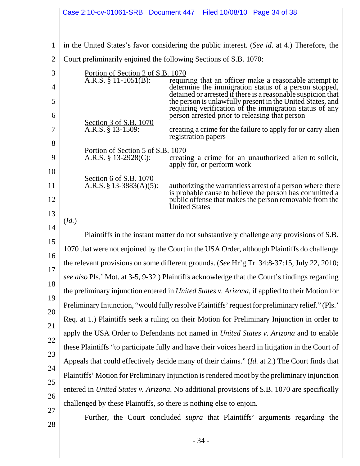|                | Case 2:10-cv-01061-SRB Document 447 Filed 10/08/10 Page 34 of 38                                                                                                                                                                                                             |  |
|----------------|------------------------------------------------------------------------------------------------------------------------------------------------------------------------------------------------------------------------------------------------------------------------------|--|
|                |                                                                                                                                                                                                                                                                              |  |
| 1              | in the United States's favor considering the public interest. (See id. at 4.) Therefore, the                                                                                                                                                                                 |  |
| $\overline{2}$ | Court preliminarily enjoined the following Sections of S.B. 1070:                                                                                                                                                                                                            |  |
| 3              | <u>Portion of Section 2 of S.B. 1070</u><br>A.R.S. § 11-1051(B): require<br>requiring that an officer make a reasonable attempt to                                                                                                                                           |  |
| 4              | determine the immigration status of a person stopped,<br>detained or arrested if there is a reasonable suspicion that                                                                                                                                                        |  |
| 5<br>6         | the person is unlawfully present in the United States, and<br>requiring verification of the immigration status of any<br>person arrested prior to releasing that person                                                                                                      |  |
| 7              | Section 3 of S.B. 1070<br>A.R.S. § 13-1509:<br>creating a crime for the failure to apply for or carry alien<br>registration papers                                                                                                                                           |  |
| 8<br>9         | Portion of Section 5 of S.B. 1070<br>A.R.S. § 13-2928(C):<br>creating a crime for an unauthorized alien to solicit,<br>apply for, or perform work                                                                                                                            |  |
| 10<br>11<br>12 | Section 6 of S.B. 1070<br>$\overline{A.R.S. \S 13-3883(A)(5)}$ :<br>authorizing the warrantless arrest of a person where there<br>is probable cause to believe the person has committed a<br>public offense that makes the person removable from the<br><b>United States</b> |  |
| 13<br>14       | (Id.)                                                                                                                                                                                                                                                                        |  |
| 15             | Plaintiffs in the instant matter do not substantively challenge any provisions of S.B.                                                                                                                                                                                       |  |
| 16             | 1070 that were not enjoined by the Court in the USA Order, although Plaintiffs do challenge                                                                                                                                                                                  |  |
| 17             | the relevant provisions on some different grounds. (See Hr'g Tr. 34:8-37:15, July 22, 2010;                                                                                                                                                                                  |  |
| 18             | see also Pls.' Mot. at 3-5, 9-32.) Plaintiffs acknowledge that the Court's findings regarding                                                                                                                                                                                |  |
| 19             | the preliminary injunction entered in <i>United States v. Arizona</i> , if applied to their Motion for                                                                                                                                                                       |  |
| 20             | Preliminary Injunction, "would fully resolve Plaintiffs' request for preliminary relief." (Pls.'                                                                                                                                                                             |  |
| 21             | Req. at 1.) Plaintiffs seek a ruling on their Motion for Preliminary Injunction in order to                                                                                                                                                                                  |  |
| 22             | apply the USA Order to Defendants not named in United States v. Arizona and to enable                                                                                                                                                                                        |  |
| 23             | these Plaintiffs "to participate fully and have their voices heard in litigation in the Court of                                                                                                                                                                             |  |
| 24             | Appeals that could effectively decide many of their claims." (Id. at 2.) The Court finds that                                                                                                                                                                                |  |
| 25             | Plaintiffs' Motion for Preliminary Injunction is rendered moot by the preliminary injunction                                                                                                                                                                                 |  |
| 26             | entered in <i>United States v. Arizona</i> . No additional provisions of S.B. 1070 are specifically                                                                                                                                                                          |  |
| 27             | challenged by these Plaintiffs, so there is nothing else to enjoin.                                                                                                                                                                                                          |  |
| 28             | Further, the Court concluded <i>supra</i> that Plaintiffs' arguments regarding the                                                                                                                                                                                           |  |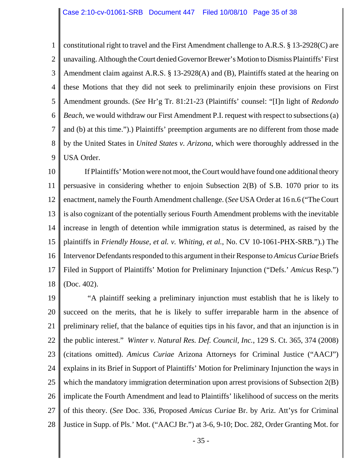1 2 3 4 5 6 7 8 9 constitutional right to travel and the First Amendment challenge to A.R.S. § 13-2928(C) are unavailing. Although the Court denied Governor Brewer's Motion to Dismiss Plaintiffs' First Amendment claim against A.R.S. § 13-2928(A) and (B), Plaintiffs stated at the hearing on these Motions that they did not seek to preliminarily enjoin these provisions on First Amendment grounds. (*See* Hr'g Tr. 81:21-23 (Plaintiffs' counsel: "[I]n light of *Redondo Beach*, we would withdraw our First Amendment P.I. request with respect to subsections (a) and (b) at this time.").) Plaintiffs' preemption arguments are no different from those made by the United States in *United States v. Arizona*, which were thoroughly addressed in the USA Order.

10 11 12 13 14 15 16 17 18 If Plaintiffs' Motion were not moot, the Court would have found one additional theory persuasive in considering whether to enjoin Subsection 2(B) of S.B. 1070 prior to its enactment, namely the Fourth Amendment challenge. (*See* USA Order at 16 n.6 ("The Court is also cognizant of the potentially serious Fourth Amendment problems with the inevitable increase in length of detention while immigration status is determined, as raised by the plaintiffs in *Friendly House, et al. v. Whiting, et al.*, No. CV 10-1061-PHX-SRB.").) The Intervenor Defendants responded to this argument in their Response to *Amicus Curiae* Briefs Filed in Support of Plaintiffs' Motion for Preliminary Injunction ("Defs.' *Amicus* Resp.") (Doc. 402).

19 20 21 22 23 24 25 26 27 28 "A plaintiff seeking a preliminary injunction must establish that he is likely to succeed on the merits, that he is likely to suffer irreparable harm in the absence of preliminary relief, that the balance of equities tips in his favor, and that an injunction is in the public interest." *Winter v. Natural Res. Def. Council, Inc.*, 129 S. Ct. 365, 374 (2008) (citations omitted). *Amicus Curiae* Arizona Attorneys for Criminal Justice ("AACJ") explains in its Brief in Support of Plaintiffs' Motion for Preliminary Injunction the ways in which the mandatory immigration determination upon arrest provisions of Subsection 2(B) implicate the Fourth Amendment and lead to Plaintiffs' likelihood of success on the merits of this theory. (*See* Doc. 336, Proposed *Amicus Curiae* Br. by Ariz. Att'ys for Criminal Justice in Supp. of Pls.' Mot. ("AACJ Br.") at 3-6, 9-10; Doc. 282, Order Granting Mot. for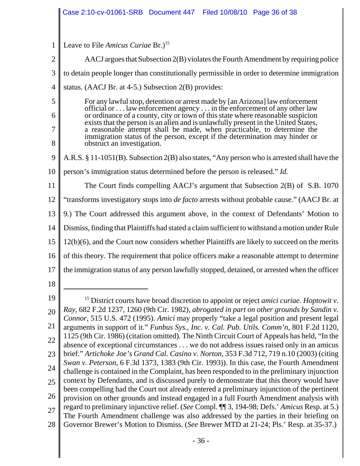|                | Case 2:10-cv-01061-SRB Document 447 Filed 10/08/10 Page 36 of 38                                                                                                                                                                                |  |
|----------------|-------------------------------------------------------------------------------------------------------------------------------------------------------------------------------------------------------------------------------------------------|--|
|                |                                                                                                                                                                                                                                                 |  |
| 1              | Leave to File Amicus Curiae Br.) <sup>15</sup>                                                                                                                                                                                                  |  |
| $\overline{2}$ | AACJ argues that Subsection 2(B) violates the Fourth Amendment by requiring police                                                                                                                                                              |  |
| 3              | to detain people longer than constitutionally permissible in order to determine immigration                                                                                                                                                     |  |
| $\overline{4}$ | status. (AACJ Br. at $4-5$ .) Subsection $2(B)$ provides:                                                                                                                                                                                       |  |
| 5              | For any lawful stop, detention or arrest made by [an Arizona] law enforcement                                                                                                                                                                   |  |
| 6              | official or law enforcement agency in the enforcement of any other law<br>or ordinance of a county, city or town of this state where reasonable suspicion<br>exists that the person is an alien and is unlawfully present in the United States, |  |
| 7              | a reasonable attempt shall be made, when practicable, to determine the<br>immigration status of the person, except if the determination may hinder or                                                                                           |  |
| 8              | obstruct an investigation.                                                                                                                                                                                                                      |  |
| 9              | A.R.S. § 11-1051(B). Subsection 2(B) also states, "Any person who is arrested shall have the                                                                                                                                                    |  |
| 10             | person's immigration status determined before the person is released." <i>Id.</i>                                                                                                                                                               |  |
| 11             | The Court finds compelling AACJ's argument that Subsection 2(B) of S.B. 1070                                                                                                                                                                    |  |
| 12             | "transforms investigatory stops into <i>de facto</i> arrests without probable cause." (AACJ Br. at                                                                                                                                              |  |
| 13             | 9.) The Court addressed this argument above, in the context of Defendants' Motion to                                                                                                                                                            |  |
| 14             | Dismiss, finding that Plaintiffs had stated a claim sufficient to withstand a motion under Rule                                                                                                                                                 |  |
| 15             | 12(b)(6), and the Court now considers whether Plaintiffs are likely to succeed on the merits                                                                                                                                                    |  |
| 16             | of this theory. The requirement that police officers make a reasonable attempt to determine                                                                                                                                                     |  |
| 17             | the immigration status of any person lawfully stopped, detained, or arrested when the officer                                                                                                                                                   |  |
| 18             |                                                                                                                                                                                                                                                 |  |
| 19             | <sup>15</sup> District courts have broad discretion to appoint or reject amici curiae. Hoptowit v.                                                                                                                                              |  |
| 20             | Ray, 682 F.2d 1237, 1260 (9th Cir. 1982), abrogated in part on other grounds by Sandin v.<br>Connor, 515 U.S. 472 (1995). Amici may properly "take a legal position and present legal                                                           |  |
| 21             | arguments in support of it." Funbus Sys., Inc. v. Cal. Pub. Utils. Comm'n, 801 F.2d 1120,                                                                                                                                                       |  |
| 22             | 1125 (9th Cir. 1986) (citation omitted). The Ninth Circuit Court of Appeals has held, "In the<br>absence of exceptional circumstances we do not address issues raised only in an amicus                                                         |  |
| 23             | brief." Artichoke Joe's Grand Cal. Casino v. Norton, 353 F.3d 712, 719 n.10 (2003) (citing<br>Swan v. Peterson, 6 F.3d 1373, 1383 (9th Cir. 1993)). In this case, the Fourth Amendment                                                          |  |
| 24             | challenge is contained in the Complaint, has been responded to in the preliminary injunction                                                                                                                                                    |  |
| 25             | context by Defendants, and is discussed purely to demonstrate that this theory would have<br>been compelling had the Court not already entered a preliminary injunction of the pertinent                                                        |  |
| 26             | provision on other grounds and instead engaged in a full Fourth Amendment analysis with                                                                                                                                                         |  |
| 27             | regard to preliminary injunctive relief. (See Compl. ¶ 3, 194-98; Defs.' Amicus Resp. at 5.)<br>The Fourth Amendment challenge was also addressed by the parties in their briefing on                                                           |  |
| 28             | Governor Brewer's Motion to Dismiss. (See Brewer MTD at 21-24; Pls.' Resp. at 35-37.)                                                                                                                                                           |  |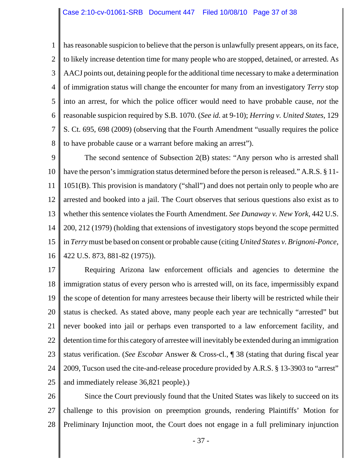1 2 3 4 5 6 7 8 has reasonable suspicion to believe that the person is unlawfully present appears, on its face, to likely increase detention time for many people who are stopped, detained, or arrested. As AACJ points out, detaining people for the additional time necessary to make a determination of immigration status will change the encounter for many from an investigatory *Terry* stop into an arrest, for which the police officer would need to have probable cause, *not* the reasonable suspicion required by S.B. 1070. (*See id.* at 9-10); *Herring v. United States*, 129 S. Ct. 695, 698 (2009) (observing that the Fourth Amendment "usually requires the police to have probable cause or a warrant before making an arrest").

9 10 11 12 13 14 15 16 The second sentence of Subsection 2(B) states: "Any person who is arrested shall have the person's immigration status determined before the person is released." A.R.S. § 11-1051(B). This provision is mandatory ("shall") and does not pertain only to people who are arrested and booked into a jail. The Court observes that serious questions also exist as to whether this sentence violates the Fourth Amendment. *See Dunaway v. New York*, 442 U.S. 200, 212 (1979) (holding that extensions of investigatory stops beyond the scope permitted in *Terry* must be based on consent or probable cause (citing *United States v. Brignoni-Ponce*, 422 U.S. 873, 881-82 (1975)).

17 18 19 20 21 22 23 24 25 Requiring Arizona law enforcement officials and agencies to determine the immigration status of every person who is arrested will, on its face, impermissibly expand the scope of detention for many arrestees because their liberty will be restricted while their status is checked. As stated above, many people each year are technically "arrested" but never booked into jail or perhaps even transported to a law enforcement facility, and detention time for this category of arrestee will inevitably be extended during an immigration status verification. (*See Escobar* Answer & Cross-cl., ¶ 38 (stating that during fiscal year 2009, Tucson used the cite-and-release procedure provided by A.R.S. § 13-3903 to "arrest" and immediately release 36,821 people).)

26 27 28 Since the Court previously found that the United States was likely to succeed on its challenge to this provision on preemption grounds, rendering Plaintiffs' Motion for Preliminary Injunction moot, the Court does not engage in a full preliminary injunction